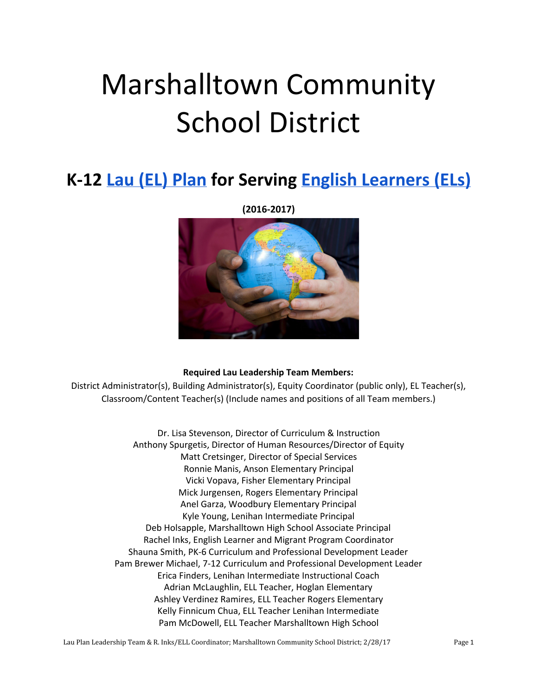# Marshalltown Community School District

# **K-12 [Lau \(EL\) Plan](http://www.languagepolicy.net/archives/lau.htm) for Serving [English Learners \(ELs\)](http://edglossary.org/english-language-learner/)**

**(2016-2017)**



#### **Required Lau Leadership Team Members:**

District Administrator(s), Building Administrator(s), Equity Coordinator (public only), EL Teacher(s), Classroom/Content Teacher(s) (Include names and positions of all Team members.)

> Dr. Lisa Stevenson, Director of Curriculum & Instruction Anthony Spurgetis, Director of Human Resources/Director of Equity Matt Cretsinger, Director of Special Services Ronnie Manis, Anson Elementary Principal Vicki Vopava, Fisher Elementary Principal Mick Jurgensen, Rogers Elementary Principal Anel Garza, Woodbury Elementary Principal Kyle Young, Lenihan Intermediate Principal Deb Holsapple, Marshalltown High School Associate Principal Rachel Inks, English Learner and Migrant Program Coordinator Shauna Smith, PK-6 Curriculum and Professional Development Leader Pam Brewer Michael, 7-12 Curriculum and Professional Development Leader Erica Finders, Lenihan Intermediate Instructional Coach Adrian McLaughlin, ELL Teacher, Hoglan Elementary Ashley Verdinez Ramires, ELL Teacher Rogers Elementary Kelly Finnicum Chua, ELL Teacher Lenihan Intermediate Pam McDowell, ELL Teacher Marshalltown High School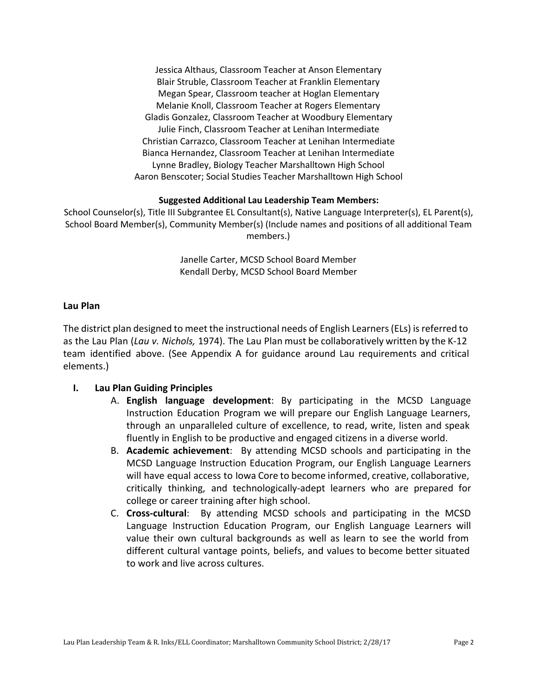Jessica Althaus, Classroom Teacher at Anson Elementary Blair Struble, Classroom Teacher at Franklin Elementary Megan Spear, Classroom teacher at Hoglan Elementary Melanie Knoll, Classroom Teacher at Rogers Elementary Gladis Gonzalez, Classroom Teacher at Woodbury Elementary Julie Finch, Classroom Teacher at Lenihan Intermediate Christian Carrazco, Classroom Teacher at Lenihan Intermediate Bianca Hernandez, Classroom Teacher at Lenihan Intermediate Lynne Bradley, Biology Teacher Marshalltown High School Aaron Benscoter; Social Studies Teacher Marshalltown High School

#### **Suggested Additional Lau Leadership Team Members:**

School Counselor(s), Title III Subgrantee EL Consultant(s), Native Language Interpreter(s), EL Parent(s), School Board Member(s), Community Member(s) (Include names and positions of all additional Team members.)

> Janelle Carter, MCSD School Board Member Kendall Derby, MCSD School Board Member

#### **Lau Plan**

The district plan designed to meet the instructional needs of English Learners (ELs) is referred to as the Lau Plan (*Lau v. Nichols,* 1974). The Lau Plan must be collaboratively written by the K-12 team identified above. (See Appendix A for guidance around Lau requirements and critical elements.)

#### **I. Lau Plan Guiding Principles**

- A. **English language development**: By participating in the MCSD Language Instruction Education Program we will prepare our English Language Learners, through an unparalleled culture of excellence, to read, write, listen and speak fluently in English to be productive and engaged citizens in a diverse world.
- B. **Academic achievement**: By attending MCSD schools and participating in the MCSD Language Instruction Education Program, our English Language Learners will have equal access to Iowa Core to become informed, creative, collaborative, critically thinking, and technologically-adept learners who are prepared for college or career training after high school.
- C. **Cross-cultural**: By attending MCSD schools and participating in the MCSD Language Instruction Education Program, our English Language Learners will value their own cultural backgrounds as well as learn to see the world from different cultural vantage points, beliefs, and values to become better situated to work and live across cultures.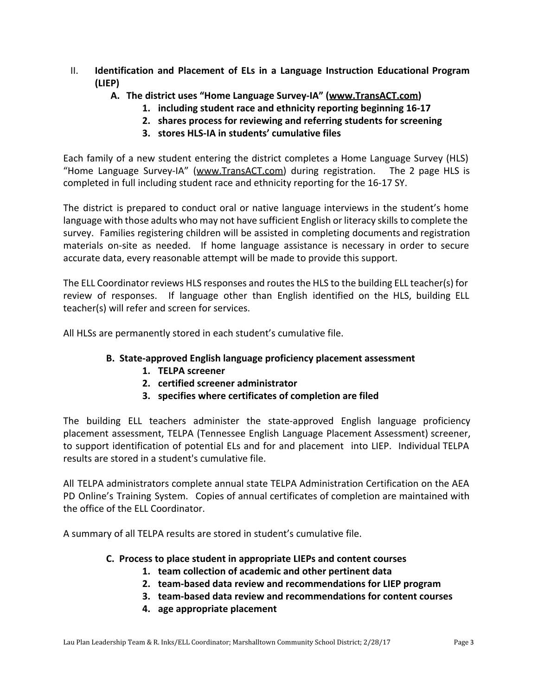- II. **Identification and Placement of ELs in a Language Instruction Educational Program (LIEP)**
	- **A. The district uses "Home Language Survey-IA" ([www.TransACT.com](http://www.transact.com/))**
		- **1. including student race and ethnicity reporting beginning 16-17**
		- **2. shares process for reviewing and referring students for screening**
		- **3. stores HLS-IA in students' cumulative files**

Each family of a new student entering the district completes a Home Language Survey (HLS) "Home Language Survey-IA" ([www.TransACT.com\)](http://www.transact.com/) during registration. The 2 page HLS is completed in full including student race and ethnicity reporting for the 16-17 SY.

The district is prepared to conduct oral or native language interviews in the student's home language with those adults who may not have sufficient English or literacy skills to complete the survey. Families registering children will be assisted in completing documents and registration materials on-site as needed. If home language assistance is necessary in order to secure accurate data, every reasonable attempt will be made to provide this support.

The ELL Coordinator reviews HLS responses and routes the HLS to the building ELL teacher(s) for review of responses. If language other than English identified on the HLS, building ELL teacher(s) will refer and screen for services.

All HLSs are permanently stored in each student's cumulative file.

# **B. State-approved English language proficiency placement assessment**

- **1. TELPA screener**
- **2. certified screener administrator**
- **3. specifies where certificates of completion are filed**

The building ELL teachers administer the state-approved English language proficiency placement assessment, TELPA (Tennessee English Language Placement Assessment) screener, to support identification of potential ELs and for and placement into LIEP. Individual TELPA results are stored in a student's cumulative file.

All TELPA administrators complete annual state TELPA Administration Certification on the AEA PD Online's Training System. Copies of annual certificates of completion are maintained with the office of the ELL Coordinator.

A summary of all TELPA results are stored in student's cumulative file.

#### **C. Process to place student in appropriate LIEPs and content courses**

- **1. team collection of academic and other pertinent data**
- **2. team-based data review and recommendations for LIEP program**
- **3. team-based data review and recommendations for content courses**
- **4. age appropriate placement**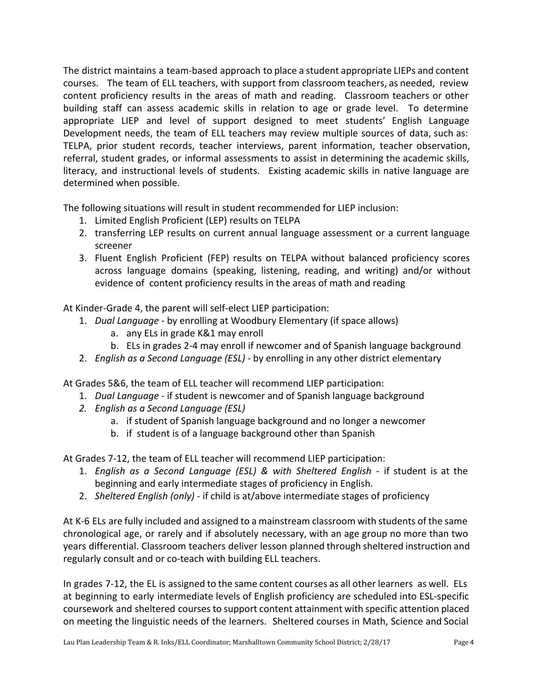The district maintains a team-based approach to place a student appropriate LIEPs and content courses. The team of ELL teachers, with support from classroom teachers, as needed, review content proficiency results in the areas of math and reading. Classroom teachers or other building staff can assess academic skills in relation to age or grade level. To determine appropriate LIEP and level of support designed to meet students' English Language Development needs, the team of ELL teachers may review multiple sources of data, such as: TELPA, prior student records, teacher interviews, parent information, teacher observation, referral, student grades, or informal assessments to assist in determining the academic skills, literacy, and instructional levels of students. Existing academic skills in native language are determined when possible.

The following situations will result in student recommended for LIEP inclusion:

- 1. Limited English Proficient (LEP) results on TELPA
- 2. transferring LEP results on current annual language assessment or a current language screener
- 3. Fluent English Proficient (FEP) results on TELPA without balanced proficiency scores across language domains (speaking, listening, reading, and writing) and/or without evidence of content proficiency results in the areas of math and reading

At Kinder-Grade 4, the parent will self-elect LIEP participation:

- 1. *Dual Language* by enrolling at Woodbury Elementary (if space allows)
	- a. any ELs in grade K&1 may enroll
	- b. ELs in grades 2-4 may enroll if newcomer and of Spanish language background
- 2. *English as a Second Language (ESL)* by enrolling in any other district elementary

At Grades 5&6, the team of ELL teacher will recommend LIEP participation:

- 1. *Dual Language* if student is newcomer and of Spanish language background
- *2. English as a Second Language (ESL)*
	- a. if student of Spanish language background and no longer a newcomer
	- b. if student is of a language background other than Spanish

At Grades 7-12, the team of ELL teacher will recommend LIEP participation:

- 1. *English as a Second Language (ESL) & with Sheltered English* if student is at the beginning and early intermediate stages of proficiency in English.
- 2. *Sheltered English (only)* if child is at/above intermediate stages of proficiency

At K-6 ELs are fully included and assigned to a mainstream classroom with students of the same chronological age, or rarely and if absolutely necessary, with an age group no more than two years differential. Classroom teachers deliver lesson planned through sheltered instruction and regularly consult and or co-teach with building ELL teachers.

In grades 7-12, the EL is assigned to the same content courses as all other learners as well. ELs at beginning to early intermediate levels of English proficiency are scheduled into ESL-specific coursework and sheltered courses to support content attainment with specific attention placed on meeting the linguistic needs of the learners. Sheltered courses in Math, Science and Social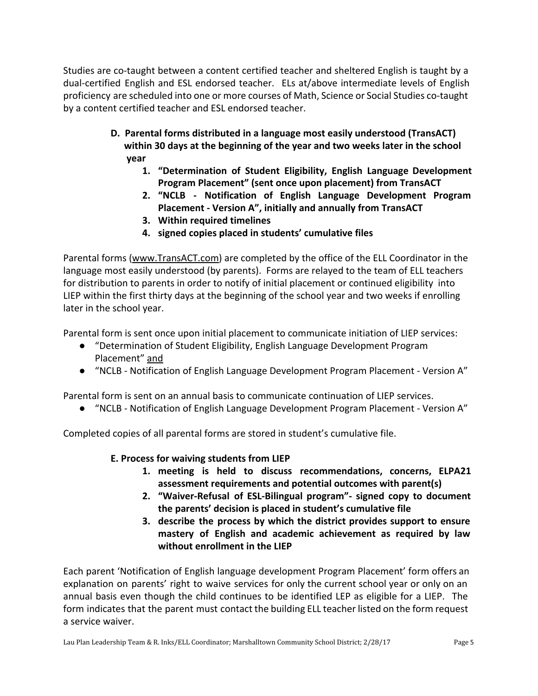Studies are co-taught between a content certified teacher and sheltered English is taught by a dual-certified English and ESL endorsed teacher. ELs at/above intermediate levels of English proficiency are scheduled into one or more courses of Math, Science or Social Studies co-taught by a content certified teacher and ESL endorsed teacher.

- **D. Parental forms distributed in a language most easily understood (TransACT) within 30 days at the beginning of the year and two weeks later in the school year**
	- **1. "Determination of Student Eligibility, English Language Development Program Placement" (sent once upon placement) from TransACT**
	- **2. "NCLB - Notification of English Language Development Program Placement - Version A", initially and annually from TransACT**
	- **3. Within required timelines**
	- **4. signed copies placed in students' cumulative files**

Parental forms [\(www.TransACT.com\)](http://www.transact.com/) are completed by the office of the ELL Coordinator in the language most easily understood (by parents). Forms are relayed to the team of ELL teachers for distribution to parents in order to notify of initial placement or continued eligibility into LIEP within the first thirty days at the beginning of the school year and two weeks if enrolling later in the school year.

Parental form is sent once upon initial placement to communicate initiation of LIEP services:

- "Determination of Student Eligibility, English Language Development Program Placement" and
- "NCLB Notification of English Language Development Program Placement Version A"

Parental form is sent on an annual basis to communicate continuation of LIEP services.

● "NCLB - Notification of English Language Development Program Placement - Version A"

Completed copies of all parental forms are stored in student's cumulative file.

# **E. Process for waiving students from LIEP**

- **1. meeting is held to discuss recommendations, concerns, ELPA21 assessment requirements and potential outcomes with parent(s)**
- **2. "Waiver-Refusal of ESL-Bilingual program"- signed copy to document the parents' decision is placed in student's cumulative file**
- **3. describe the process by which the district provides support to ensure mastery of English and academic achievement as required by law without enrollment in the LIEP**

Each parent 'Notification of English language development Program Placement' form offers an explanation on parents' right to waive services for only the current school year or only on an annual basis even though the child continues to be identified LEP as eligible for a LIEP. The form indicates that the parent must contact the building ELL teacher listed on the form request a service waiver.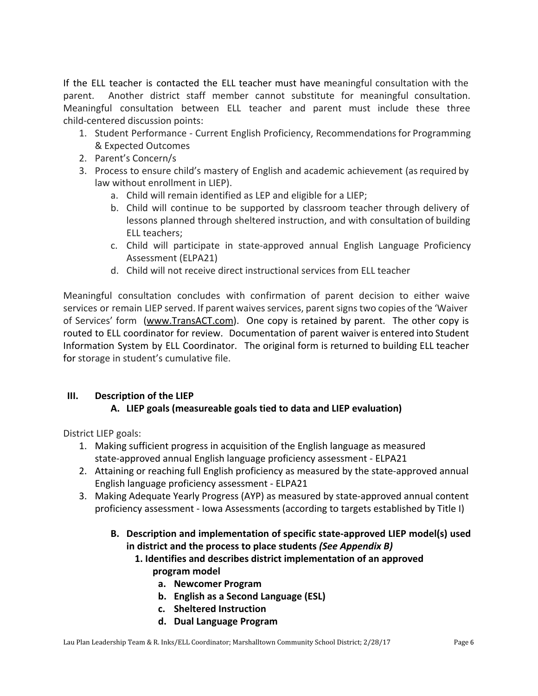If the ELL teacher is contacted the ELL teacher must have meaningful consultation with the parent. Another district staff member cannot substitute for meaningful consultation. Meaningful consultation between ELL teacher and parent must include these three child-centered discussion points:

- 1. Student Performance Current English Proficiency, Recommendations for Programming & Expected Outcomes
- 2. Parent's Concern/s
- 3. Process to ensure child's mastery of English and academic achievement (asrequired by law without enrollment in LIEP).
	- a. Child will remain identified as LEP and eligible for a LIEP;
	- b. Child will continue to be supported by classroom teacher through delivery of lessons planned through sheltered instruction, and with consultation of building ELL teachers;
	- c. Child will participate in state-approved annual English Language Proficiency Assessment (ELPA21)
	- d. Child will not receive direct instructional services from ELL teacher

Meaningful consultation concludes with confirmation of parent decision to either waive services or remain LIEP served. If parent waives services, parent signs two copies of the 'Waiver of Services' form ([www.TransACT.com\)](http://www.transact.com/). One copy is retained by parent. The other copy is routed to ELL coordinator for review. Documentation of parent waiver is entered into Student Information System by ELL Coordinator. The original form is returned to building ELL teacher for storage in student's cumulative file.

# **III. Description of the LIEP**

# **A. LIEP goals (measureable goals tied to data and LIEP evaluation)**

District LIEP goals:

- 1. Making sufficient progress in acquisition of the English language as measured state-approved annual English language proficiency assessment - ELPA21
- 2. Attaining or reaching full English proficiency as measured by the state-approved annual English language proficiency assessment - ELPA21
- 3. Making Adequate Yearly Progress (AYP) as measured by state-approved annual content proficiency assessment - Iowa Assessments (according to targets established by Title I)
	- **B. Description and implementation of specific state-approved LIEP model(s) used in district and the process to place students** *(See Appendix B)*
		- **1. Identifies and describes district implementation of an approved program model**
			- **a. Newcomer Program**
			- **b. English as a Second Language (ESL)**
			- **c. Sheltered Instruction**
			- **d. Dual Language Program**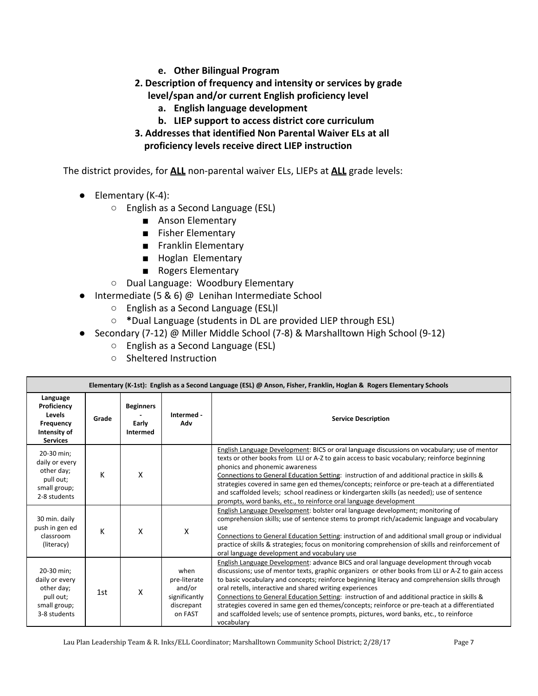- **e. Other Bilingual Program**
- **2. Description of frequency and intensity or services by grade level/span and/or current English proficiency level**
	- **a. English language development**
	- **b. LIEP support to access district core curriculum**
- **3. Addresses that identified Non Parental Waiver ELs at all proficiency levels receive direct LIEP instruction**

The district provides, for **ALL** non-parental waiver ELs, LIEPs at **ALL** grade levels:

- $\bullet$  Elementary (K-4):
	- English as a Second Language (ESL)
		- Anson Elementary
		- Fisher Elementary
		- Franklin Elementary
		- Hoglan Elementary
		- Rogers Elementary
	- Dual Language: Woodbury Elementary
- Intermediate (5 & 6) @ Lenihan Intermediate School
	- English as a Second Language (ESL)l
	- **\***Dual Language (students in DL are provided LIEP through ESL)
- Secondary (7-12) @ Miller Middle School (7-8) & Marshalltown High School (9-12)
	- English as a Second Language (ESL)
	- Sheltered Instruction

| Elementary (K-1st): English as a Second Language (ESL) @ Anson, Fisher, Franklin, Hoglan & Rogers Elementary Schools |       |                                              |                                                                          |                                                                                                                                                                                                                                                                                                                                                                                                                                                                                                                                                                                                                                                                        |  |
|----------------------------------------------------------------------------------------------------------------------|-------|----------------------------------------------|--------------------------------------------------------------------------|------------------------------------------------------------------------------------------------------------------------------------------------------------------------------------------------------------------------------------------------------------------------------------------------------------------------------------------------------------------------------------------------------------------------------------------------------------------------------------------------------------------------------------------------------------------------------------------------------------------------------------------------------------------------|--|
| Language<br>Proficiency<br>Levels<br>Frequency<br>Intensity of<br><b>Services</b>                                    | Grade | <b>Beginners</b><br>Early<br><b>Intermed</b> | Intermed -<br>Adv                                                        | <b>Service Description</b>                                                                                                                                                                                                                                                                                                                                                                                                                                                                                                                                                                                                                                             |  |
| 20-30 min;<br>daily or every<br>other day;<br>pull out;<br>small group;<br>2-8 students                              | K     | X                                            |                                                                          | English Language Development: BICS or oral language discussions on vocabulary; use of mentor<br>texts or other books from LLI or A-Z to gain access to basic vocabulary; reinforce beginning<br>phonics and phonemic awareness<br>Connections to General Education Setting: instruction of and additional practice in skills &<br>strategies covered in same gen ed themes/concepts; reinforce or pre-teach at a differentiated<br>and scaffolded levels; school readiness or kindergarten skills (as needed); use of sentence<br>prompts, word banks, etc., to reinforce oral language development                                                                    |  |
| 30 min. daily<br>push in gen ed<br>classroom<br>(literacy)                                                           | K     | X                                            | X                                                                        | English Language Development: bolster oral language development; monitoring of<br>comprehension skills; use of sentence stems to prompt rich/academic language and vocabulary<br>use<br>Connections to General Education Setting: instruction of and additional small group or individual<br>practice of skills & strategies; focus on monitoring comprehension of skills and reinforcement of<br>oral language development and vocabulary use                                                                                                                                                                                                                         |  |
| 20-30 min;<br>daily or every<br>other day;<br>pull out;<br>small group;<br>3-8 students                              | 1st   | X                                            | when<br>pre-literate<br>and/or<br>significantly<br>discrepant<br>on FAST | English Language Development: advance BICS and oral language development through vocab<br>discussions; use of mentor texts, graphic organizers or other books from LLI or A-Z to gain access<br>to basic vocabulary and concepts; reinforce beginning literacy and comprehension skills through<br>oral retells, interactive and shared writing experiences<br>Connections to General Education Setting: instruction of and additional practice in skills &<br>strategies covered in same gen ed themes/concepts; reinforce or pre-teach at a differentiated<br>and scaffolded levels; use of sentence prompts, pictures, word banks, etc., to reinforce<br>vocabulary |  |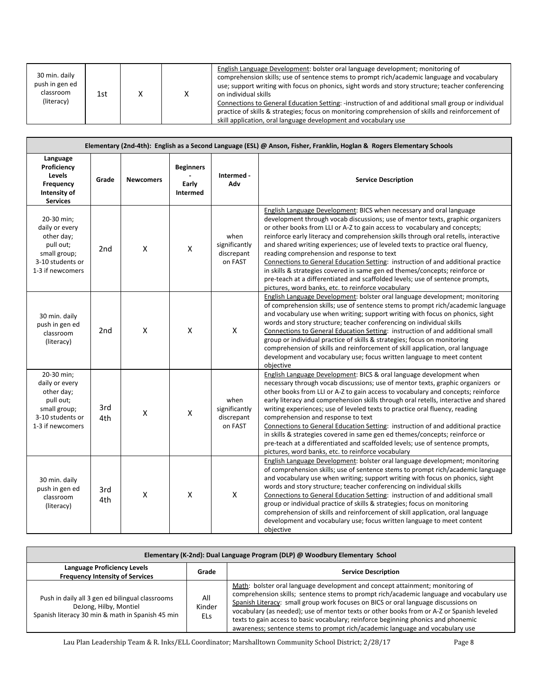| 30 min. daily<br>push in gen ed<br>classroom<br>(literacy) | 1st |  |  | English Language Development: bolster oral language development; monitoring of<br>comprehension skills; use of sentence stems to prompt rich/academic language and vocabulary<br>use; support writing with focus on phonics, sight words and story structure; teacher conferencing<br>on individual skills<br>Connections to General Education Setting: -instruction of and additional small group or individual<br>practice of skills & strategies; focus on monitoring comprehension of skills and reinforcement of<br>skill application, oral language development and vocabulary use |
|------------------------------------------------------------|-----|--|--|------------------------------------------------------------------------------------------------------------------------------------------------------------------------------------------------------------------------------------------------------------------------------------------------------------------------------------------------------------------------------------------------------------------------------------------------------------------------------------------------------------------------------------------------------------------------------------------|
|------------------------------------------------------------|-----|--|--|------------------------------------------------------------------------------------------------------------------------------------------------------------------------------------------------------------------------------------------------------------------------------------------------------------------------------------------------------------------------------------------------------------------------------------------------------------------------------------------------------------------------------------------------------------------------------------------|

| Elementary (2nd-4th): English as a Second Language (ESL) @ Anson, Fisher, Franklin, Hoglan & Rogers Elementary Schools |                 |                  |                                       |                                                                                                                                                                                                                                                                                                                                                                                                                                                                                                                                                                                                                                                                                                                                                                                                                     |                                                                                                                                                                                                                                                                                                                                                                                                                                                                                                                                                                                                                                                                                                                                                                     |
|------------------------------------------------------------------------------------------------------------------------|-----------------|------------------|---------------------------------------|---------------------------------------------------------------------------------------------------------------------------------------------------------------------------------------------------------------------------------------------------------------------------------------------------------------------------------------------------------------------------------------------------------------------------------------------------------------------------------------------------------------------------------------------------------------------------------------------------------------------------------------------------------------------------------------------------------------------------------------------------------------------------------------------------------------------|---------------------------------------------------------------------------------------------------------------------------------------------------------------------------------------------------------------------------------------------------------------------------------------------------------------------------------------------------------------------------------------------------------------------------------------------------------------------------------------------------------------------------------------------------------------------------------------------------------------------------------------------------------------------------------------------------------------------------------------------------------------------|
| Language<br>Proficiency<br>Levels<br>Frequency<br>Intensity of<br><b>Services</b>                                      | Grade           | <b>Newcomers</b> | <b>Beginners</b><br>Early<br>Intermed | Intermed -<br>Adv                                                                                                                                                                                                                                                                                                                                                                                                                                                                                                                                                                                                                                                                                                                                                                                                   | <b>Service Description</b>                                                                                                                                                                                                                                                                                                                                                                                                                                                                                                                                                                                                                                                                                                                                          |
| 20-30 min;<br>daily or every<br>other day;<br>pull out;<br>small group;<br>3-10 students or<br>1-3 if newcomers        | 2 <sub>nd</sub> | X                | $\pmb{\mathsf{X}}$                    | when<br>significantly<br>discrepant<br>on FAST                                                                                                                                                                                                                                                                                                                                                                                                                                                                                                                                                                                                                                                                                                                                                                      | English Language Development: BICS when necessary and oral language<br>development through vocab discussions; use of mentor texts, graphic organizers<br>or other books from LLI or A-Z to gain access to vocabulary and concepts;<br>reinforce early literacy and comprehension skills through oral retells, interactive<br>and shared writing experiences; use of leveled texts to practice oral fluency,<br>reading comprehension and response to text<br>Connections to General Education Setting: instruction of and additional practice<br>in skills & strategies covered in same gen ed themes/concepts; reinforce or<br>pre-teach at a differentiated and scaffolded levels; use of sentence prompts,<br>pictures, word banks, etc. to reinforce vocabulary |
| 30 min. daily<br>push in gen ed<br>classroom<br>(literacy)                                                             | 2 <sub>nd</sub> | X                | X                                     | X                                                                                                                                                                                                                                                                                                                                                                                                                                                                                                                                                                                                                                                                                                                                                                                                                   | English Language Development: bolster oral language development; monitoring<br>of comprehension skills; use of sentence stems to prompt rich/academic language<br>and vocabulary use when writing; support writing with focus on phonics, sight<br>words and story structure; teacher conferencing on individual skills<br>Connections to General Education Setting: instruction of and additional small<br>group or individual practice of skills & strategies; focus on monitoring<br>comprehension of skills and reinforcement of skill application, oral language<br>development and vocabulary use; focus written language to meet content<br>objective                                                                                                        |
| 20-30 min;<br>daily or every<br>other day;<br>pull out;<br>small group;<br>3-10 students or<br>1-3 if newcomers        | 3rd<br>4th      | X                | $\mathsf{X}$                          | English Language Development: BICS & oral language development when<br>necessary through vocab discussions; use of mentor texts, graphic organizers or<br>other books from LLI or A-Z to gain access to vocabulary and concepts; reinforce<br>when<br>early literacy and comprehension skills through oral retells, interactive and shared<br>significantly<br>writing experiences; use of leveled texts to practice oral fluency, reading<br>discrepant<br>comprehension and response to text<br>on FAST<br>Connections to General Education Setting: instruction of and additional practice<br>in skills & strategies covered in same gen ed themes/concepts; reinforce or<br>pre-teach at a differentiated and scaffolded levels; use of sentence prompts,<br>pictures, word banks, etc. to reinforce vocabulary |                                                                                                                                                                                                                                                                                                                                                                                                                                                                                                                                                                                                                                                                                                                                                                     |
| 30 min. daily<br>push in gen ed<br>classroom<br>(literacy)                                                             | 3rd<br>4th      | X                | $\boldsymbol{\mathsf{X}}$             | X                                                                                                                                                                                                                                                                                                                                                                                                                                                                                                                                                                                                                                                                                                                                                                                                                   | English Language Development: bolster oral language development; monitoring<br>of comprehension skills; use of sentence stems to prompt rich/academic language<br>and vocabulary use when writing; support writing with focus on phonics, sight<br>words and story structure; teacher conferencing on individual skills<br>Connections to General Education Setting: instruction of and additional small<br>group or individual practice of skills & strategies; focus on monitoring<br>comprehension of skills and reinforcement of skill application, oral language<br>development and vocabulary use; focus written language to meet content<br>objective                                                                                                        |

| Elementary (K-2nd): Dual Language Program (DLP) @ Woodbury Elementary School                                                  |                             |                                                                                                                                                                                                                                                                                                                                                                                                                                                                                                                                     |  |  |
|-------------------------------------------------------------------------------------------------------------------------------|-----------------------------|-------------------------------------------------------------------------------------------------------------------------------------------------------------------------------------------------------------------------------------------------------------------------------------------------------------------------------------------------------------------------------------------------------------------------------------------------------------------------------------------------------------------------------------|--|--|
| Language Proficiency Levels<br><b>Frequency Intensity of Services</b>                                                         | Grade                       | <b>Service Description</b>                                                                                                                                                                                                                                                                                                                                                                                                                                                                                                          |  |  |
| Push in daily all 3 gen ed bilingual classrooms<br>DeJong, Hilby, Montiel<br>Spanish literacy 30 min & math in Spanish 45 min | All<br>Kinder<br><b>ELs</b> | Math: bolster oral language development and concept attainment; monitoring of<br>comprehension skills; sentence stems to prompt rich/academic language and vocabulary use<br>Spanish Literacy: small group work focuses on BICS or oral language discussions on<br>vocabulary (as needed); use of mentor texts or other books from or A-Z or Spanish leveled<br>texts to gain access to basic vocabulary; reinforce beginning phonics and phonemic<br>awareness; sentence stems to prompt rich/academic language and vocabulary use |  |  |

Lau Plan Leadership Team & R. Inks/ELL Coordinator; Marshalltown Community School District; 2/28/17 Page 8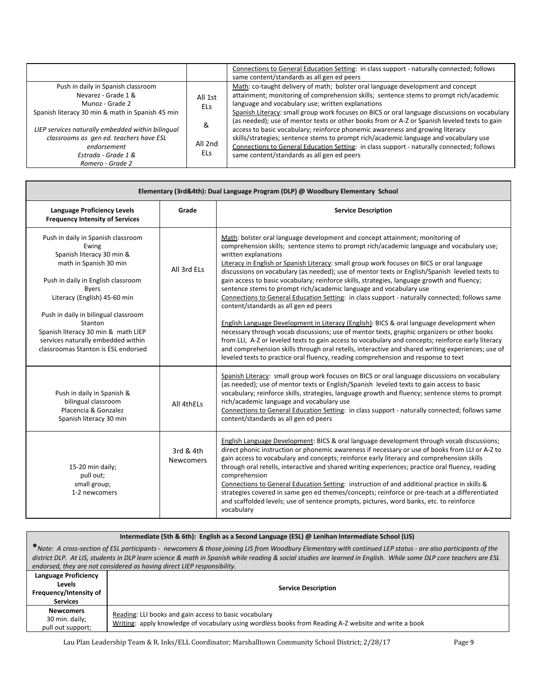|                                                                                                                                                                                                                                                                        |                                         | Connections to General Education Setting: in class support - naturally connected; follows<br>same content/standards as all gen ed peers                                                                                                                                                                                                                                                                                                                                                                                                                                                                                                                                                                                                              |
|------------------------------------------------------------------------------------------------------------------------------------------------------------------------------------------------------------------------------------------------------------------------|-----------------------------------------|------------------------------------------------------------------------------------------------------------------------------------------------------------------------------------------------------------------------------------------------------------------------------------------------------------------------------------------------------------------------------------------------------------------------------------------------------------------------------------------------------------------------------------------------------------------------------------------------------------------------------------------------------------------------------------------------------------------------------------------------------|
| Push in daily in Spanish classroom<br>Nevarez - Grade 1 &<br>Munoz - Grade 2<br>Spanish literacy 30 min & math in Spanish 45 min<br>LIEP services naturally embedded within bilingual<br>classrooms as gen ed. teachers have ESL<br>endorsement<br>Estrada - Grade 1 & | All 1st<br>ELs.<br>&<br>All 2nd<br>ELs. | Math: co-taught delivery of math; bolster oral language development and concept<br>attainment; monitoring of comprehension skills; sentence stems to prompt rich/academic<br>language and vocabulary use; written explanations<br>Spanish Literacy: small group work focuses on BICS or oral language discussions on vocabulary<br>(as needed); use of mentor texts or other books from or A-Z or Spanish leveled texts to gain<br>access to basic vocabulary; reinforce phonemic awareness and growing literacy<br>skills/strategies; sentence stems to prompt rich/academic language and vocabulary use<br>Connections to General Education Setting: in class support - naturally connected; follows<br>same content/standards as all gen ed peers |
| Romero - Grade 2                                                                                                                                                                                                                                                       |                                         |                                                                                                                                                                                                                                                                                                                                                                                                                                                                                                                                                                                                                                                                                                                                                      |

| Elementary (3rd&4th): Dual Language Program (DLP) @ Woodbury Elementary School                                                                                                                                                                                                                                                                                  |                               |                                                                                                                                                                                                                                                                                                                                                                                                                                                                                                                                                                                                                                                                                                                                                                                                                                                                                                                                                                                                                                                                                                                                                                                                                 |  |  |
|-----------------------------------------------------------------------------------------------------------------------------------------------------------------------------------------------------------------------------------------------------------------------------------------------------------------------------------------------------------------|-------------------------------|-----------------------------------------------------------------------------------------------------------------------------------------------------------------------------------------------------------------------------------------------------------------------------------------------------------------------------------------------------------------------------------------------------------------------------------------------------------------------------------------------------------------------------------------------------------------------------------------------------------------------------------------------------------------------------------------------------------------------------------------------------------------------------------------------------------------------------------------------------------------------------------------------------------------------------------------------------------------------------------------------------------------------------------------------------------------------------------------------------------------------------------------------------------------------------------------------------------------|--|--|
| <b>Language Proficiency Levels</b><br><b>Frequency Intensity of Services</b>                                                                                                                                                                                                                                                                                    | Grade                         | <b>Service Description</b>                                                                                                                                                                                                                                                                                                                                                                                                                                                                                                                                                                                                                                                                                                                                                                                                                                                                                                                                                                                                                                                                                                                                                                                      |  |  |
| Push in daily in Spanish classroom<br>Ewing<br>Spanish literacy 30 min &<br>math in Spanish 30 min<br>Push in daily in English classroom<br><b>Byers</b><br>Literacy (English) 45-60 min<br>Push in daily in bilingual classroom<br>Stanton<br>Spanish literacy 30 min & math LIEP<br>services naturally embedded within<br>classroomas Stanton is ESL endorsed | All 3rd FLs                   | Math: bolster oral language development and concept attainment; monitoring of<br>comprehension skills; sentence stems to prompt rich/academic language and vocabulary use;<br>written explanations<br>Literacy in English or Spanish Literacy: small group work focuses on BICS or oral language<br>discussions on vocabulary (as needed); use of mentor texts or English/Spanish leveled texts to<br>gain access to basic vocabulary; reinforce skills, strategies, language growth and fluency;<br>sentence stems to prompt rich/academic language and vocabulary use<br>Connections to General Education Setting: in class support - naturally connected; follows same<br>content/standards as all gen ed peers<br>English Language Development in Literacy (English): BICS & oral language development when<br>necessary through vocab discussions; use of mentor texts, graphic organizers or other books<br>from LLI, A-Z or leveled texts to gain access to vocabulary and concepts; reinforce early literacy<br>and comprehension skills through oral retells, interactive and shared writing experiences; use of<br>leveled texts to practice oral fluency, reading comprehension and response to text |  |  |
| Push in daily in Spanish &<br>bilingual classroom<br>Placencia & Gonzalez<br>Spanish literacy 30 min                                                                                                                                                                                                                                                            | All 4thFIs                    | Spanish Literacy: small group work focuses on BICS or oral language discussions on vocabulary<br>(as needed); use of mentor texts or English/Spanish leveled texts to gain access to basic<br>vocabulary; reinforce skills, strategies, language growth and fluency; sentence stems to prompt<br>rich/academic language and vocabulary use<br>Connections to General Education Setting: in class support - naturally connected; follows same<br>content/standards as all gen ed peers                                                                                                                                                                                                                                                                                                                                                                                                                                                                                                                                                                                                                                                                                                                           |  |  |
| 15-20 min daily;<br>pull out;<br>small group;<br>1-2 newcomers                                                                                                                                                                                                                                                                                                  | 3rd & 4th<br><b>Newcomers</b> | English Language Development: BICS & oral language development through vocab discussions;<br>direct phonic instruction or phonemic awareness if necessary or use of books from LLI or A-Z to<br>gain access to vocabulary and concepts; reinforce early literacy and comprehension skills<br>through oral retells, interactive and shared writing experiences; practice oral fluency, reading<br>comprehension<br>Connections to General Education Setting: instruction of and additional practice in skills &<br>strategies covered in same gen ed themes/concepts; reinforce or pre-teach at a differentiated<br>and scaffolded levels; use of sentence prompts, pictures, word banks, etc. to reinforce<br>vocabulary                                                                                                                                                                                                                                                                                                                                                                                                                                                                                        |  |  |

| Intermediate (5th & 6th): English as a Second Language (ESL) @ Lenihan Intermediate School (LIS)                                                                                                                                                                                                                                                                                                             |                                                                                                                                                                 |  |  |  |  |
|--------------------------------------------------------------------------------------------------------------------------------------------------------------------------------------------------------------------------------------------------------------------------------------------------------------------------------------------------------------------------------------------------------------|-----------------------------------------------------------------------------------------------------------------------------------------------------------------|--|--|--|--|
| *Note: A cross-section of ESL participants - newcomers & those joining LIS from Woodbury Elementary with continued LEP status - are also participants of the<br>district DLP. At LIS, students in DLP learn science & math in Spanish while reading & social studies are learned in English. While some DLP core teachers are ESL<br>endorsed, they are not considered as having direct LIEP responsibility. |                                                                                                                                                                 |  |  |  |  |
| Language Proficiency<br>Levels<br>Frequency/Intensity of<br><b>Services</b>                                                                                                                                                                                                                                                                                                                                  | <b>Service Description</b>                                                                                                                                      |  |  |  |  |
| <b>Newcomers</b><br>30 min. daily;<br>pull out support;                                                                                                                                                                                                                                                                                                                                                      | Reading: LLI books and gain access to basic vocabulary<br>Writing: apply knowledge of vocabulary using wordless books from Reading A-Z website and write a book |  |  |  |  |

Lau Plan Leadership Team & R. Inks/ELL Coordinator; Marshalltown Community School District; 2/28/17 Page 9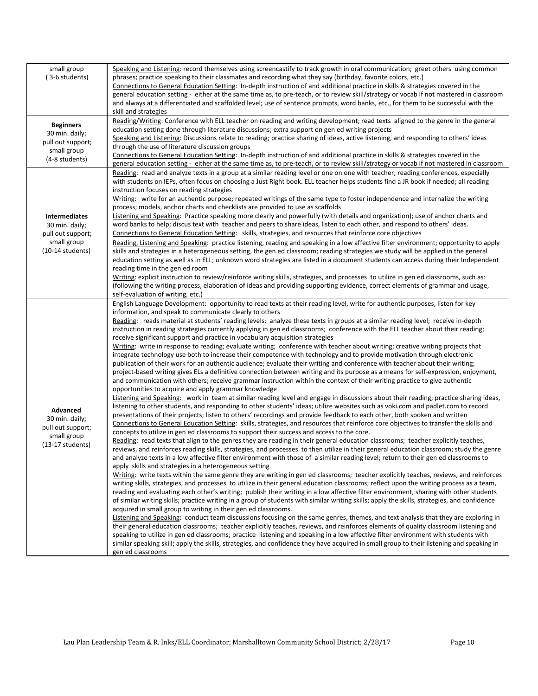| small group<br>(3-6 students)                                                                    | Speaking and Listening: record themselves using screencastify to track growth in oral communication; greet others using common<br>phrases; practice speaking to their classmates and recording what they say (birthday, favorite colors, etc.)<br>Connections to General Education Setting: In-depth instruction of and additional practice in skills & strategies covered in the<br>general education setting - either at the same time as, to pre-teach, or to review skill/strategy or vocab if not mastered in classroom<br>and always at a differentiated and scaffolded level; use of sentence prompts, word banks, etc., for them to be successful with the<br>skill and strategies                                                                                                                                                                                                                                                                                                                                                                                                                                                                                                                                                                                                                                                                                                                                                                                                                                                                                                                                                                                                                                                                                                                                                                                                                                                                                                                                                                                                                                                                                                                                                                                                                                                                                                                                                                                                                                                                                                                                                                                                                                                                                                                                                                                                                                                                                                                                                                                                                                                                                                                                                                                                                                                                                                                                                                                                                                                                                                                                                |
|--------------------------------------------------------------------------------------------------|-------------------------------------------------------------------------------------------------------------------------------------------------------------------------------------------------------------------------------------------------------------------------------------------------------------------------------------------------------------------------------------------------------------------------------------------------------------------------------------------------------------------------------------------------------------------------------------------------------------------------------------------------------------------------------------------------------------------------------------------------------------------------------------------------------------------------------------------------------------------------------------------------------------------------------------------------------------------------------------------------------------------------------------------------------------------------------------------------------------------------------------------------------------------------------------------------------------------------------------------------------------------------------------------------------------------------------------------------------------------------------------------------------------------------------------------------------------------------------------------------------------------------------------------------------------------------------------------------------------------------------------------------------------------------------------------------------------------------------------------------------------------------------------------------------------------------------------------------------------------------------------------------------------------------------------------------------------------------------------------------------------------------------------------------------------------------------------------------------------------------------------------------------------------------------------------------------------------------------------------------------------------------------------------------------------------------------------------------------------------------------------------------------------------------------------------------------------------------------------------------------------------------------------------------------------------------------------------------------------------------------------------------------------------------------------------------------------------------------------------------------------------------------------------------------------------------------------------------------------------------------------------------------------------------------------------------------------------------------------------------------------------------------------------------------------------------------------------------------------------------------------------------------------------------------------------------------------------------------------------------------------------------------------------------------------------------------------------------------------------------------------------------------------------------------------------------------------------------------------------------------------------------------------------------------------------------------------------------------------------------------------------|
| <b>Beginners</b><br>30 min. daily;<br>pull out support;<br>small group<br>(4-8 students)         | Reading/Writing: Conference with ELL teacher on reading and writing development; read texts aligned to the genre in the general<br>education setting done through literature discussions; extra support on gen ed writing projects<br>Speaking and Listening: Discussions relate to reading; practice sharing of ideas, active listening, and responding to others' ideas<br>through the use of literature discussion groups<br>Connections to General Education Setting: In-depth instruction of and additional practice in skills & strategies covered in the<br>general education setting - either at the same time as, to pre-teach, or to review skill/strategy or vocab if not mastered in classroom                                                                                                                                                                                                                                                                                                                                                                                                                                                                                                                                                                                                                                                                                                                                                                                                                                                                                                                                                                                                                                                                                                                                                                                                                                                                                                                                                                                                                                                                                                                                                                                                                                                                                                                                                                                                                                                                                                                                                                                                                                                                                                                                                                                                                                                                                                                                                                                                                                                                                                                                                                                                                                                                                                                                                                                                                                                                                                                                |
| <b>Intermediates</b><br>30 min. daily;<br>pull out support;<br>small group<br>$(10-14$ students) | Reading: read and analyze texts in a group at a similar reading level or one on one with teacher; reading conferences, especially<br>with students on IEPs, often focus on choosing a Just Right book. ELL teacher helps students find a JR book if needed; all reading<br>instruction focuses on reading strategies<br>Writing: write for an authentic purpose; repeated writings of the same type to foster independence and internalize the writing<br>process; models, anchor charts and checklists are provided to use as scaffolds<br>Listening and Speaking: Practice speaking more clearly and powerfully (with details and organization); use of anchor charts and<br>word banks to help; discus text with teacher and peers to share ideas, listen to each other, and respond to others' ideas.<br>Connections to General Education Setting: skills, strategies, and resources that reinforce core objectives<br>Reading, Listening and Speaking: practice listening, reading and speaking in a low affective filter environment; opportunity to apply<br>skills and strategies in a heterogeneous setting, the gen ed classroom; reading strategies we study will be applied in the general<br>education setting as well as in ELL; unknown word strategies are listed in a document students can access during their Independent<br>reading time in the gen ed room<br>Writing: explicit instruction to review/reinforce writing skills, strategies, and processes to utilize in gen ed classrooms, such as:<br>(following the writing process, elaboration of ideas and providing supporting evidence, correct elements of grammar and usage,<br>self-evaluation of writing, etc.)                                                                                                                                                                                                                                                                                                                                                                                                                                                                                                                                                                                                                                                                                                                                                                                                                                                                                                                                                                                                                                                                                                                                                                                                                                                                                                                                                                                                                                                                                                                                                                                                                                                                                                                                                                                                                                                                                                                                           |
| Advanced<br>30 min. daily;<br>pull out support;<br>small group<br>$(13-17$ students)             | English Language Development: opportunity to read texts at their reading level, write for authentic purposes, listen for key<br>information, and speak to communicate clearly to others<br>Reading: reads material at students' reading levels; analyze these texts in groups at a similar reading level; receive in-depth<br>instruction in reading strategies currently applying in gen ed classrooms; conference with the ELL teacher about their reading;<br>receive significant support and practice in vocabulary acquisition strategies<br>Writing: write in response to reading; evaluate writing; conference with teacher about writing; creative writing projects that<br>integrate technology use both to increase their competence with technology and to provide motivation through electronic<br>publication of their work for an authentic audience; evaluate their writing and conference with teacher about their writing;<br>project-based writing gives ELs a definitive connection between writing and its purpose as a means for self-expression, enjoyment,<br>and communication with others; receive grammar instruction within the context of their writing practice to give authentic<br>opportunities to acquire and apply grammar knowledge<br>Listening and Speaking: work in team at similar reading level and engage in discussions about their reading; practice sharing ideas,<br>listening to other students, and responding to other students' ideas; utilize websites such as voki.com and padlet.com to record<br>presentations of their projects; listen to others' recordings and provide feedback to each other, both spoken and written<br>Connections to General Education Setting: skills, strategies, and resources that reinforce core objectives to transfer the skills and<br>concepts to utilize in gen ed classrooms to support their success and access to the core.<br>Reading: read texts that align to the genres they are reading in their general education classrooms; teacher explicitly teaches,<br>reviews, and reinforces reading skills, strategies, and processes to then utilize in their general education classroom; study the genre<br>and analyze texts in a low affective filter environment with those of a similar reading level; return to their gen ed classrooms to<br>apply skills and strategies in a heterogeneous setting<br>Writing: write texts within the same genre they are writing in gen ed classrooms; teacher explicitly teaches, reviews, and reinforces<br>writing skills, strategies, and processes to utilize in their general education classrooms; reflect upon the writing process as a team,<br>reading and evaluating each other's writing; publish their writing in a low affective filter environment, sharing with other students<br>of similar writing skills; practice writing in a group of students with similar writing skills; apply the skills, strategies, and confidence<br>acquired in small group to writing in their gen ed classrooms.<br>Listening and Speaking: conduct team discussions focusing on the same genres, themes, and text analysis that they are exploring in<br>their general education classrooms; teacher explicitly teaches, reviews, and reinforces elements of quality classroom listening and<br>speaking to utilize in gen ed classrooms; practice listening and speaking in a low affective filter environment with students with<br>similar speaking skill; apply the skills, strategies, and confidence they have acquired in small group to their listening and speaking in<br>gen ed classrooms |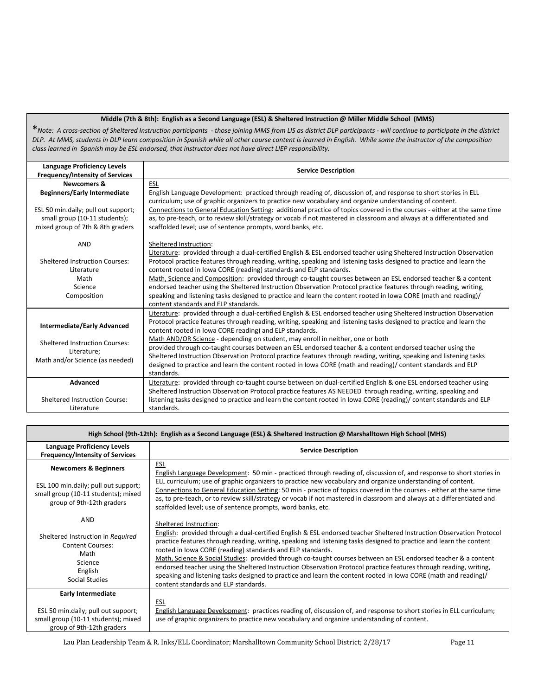#### **Middle (7th & 8th): English as a Second Language (ESL) & Sheltered Instruction @ Miller Middle School (MMS)**

**\****Note: A cross-section of Sheltered Instruction participants - those joining MMS from LIS as district DLP participants - will continue to participate in the district DLP. At MMS, students in DLP learn composition in Spanish while all other course content is learned in English. While some the instructor of the composition class learned in Spanish may be ESL endorsed, that instructor does not have direct LIEP responsibility.*

| <b>Language Proficiency Levels</b><br><b>Frequency/Intensity of Services</b>                                                                                              | <b>Service Description</b>                                                                                                                                                                                                                                                                                                                                                                                                                                                                                                                                                                                                                                                                                                                                  |  |  |
|---------------------------------------------------------------------------------------------------------------------------------------------------------------------------|-------------------------------------------------------------------------------------------------------------------------------------------------------------------------------------------------------------------------------------------------------------------------------------------------------------------------------------------------------------------------------------------------------------------------------------------------------------------------------------------------------------------------------------------------------------------------------------------------------------------------------------------------------------------------------------------------------------------------------------------------------------|--|--|
| <b>Newcomers &amp;</b><br><b>Beginners/Early Intermediate</b><br>ESL 50 min.daily; pull out support;<br>small group (10-11 students);<br>mixed group of 7th & 8th graders | ESL<br>English Language Development: practiced through reading of, discussion of, and response to short stories in ELL<br>curriculum; use of graphic organizers to practice new vocabulary and organize understanding of content.<br>Connections to General Education Setting: additional practice of topics covered in the courses - either at the same time<br>as, to pre-teach, or to review skill/strategy or vocab if not mastered in classroom and always at a differentiated and<br>scaffolded level; use of sentence prompts, word banks, etc.                                                                                                                                                                                                      |  |  |
| <b>AND</b><br><b>Sheltered Instruction Courses:</b><br>Literature<br>Math<br>Science<br>Composition                                                                       | Sheltered Instruction:<br>Literature: provided through a dual-certified English & ESL endorsed teacher using Sheltered Instruction Observation<br>Protocol practice features through reading, writing, speaking and listening tasks designed to practice and learn the<br>content rooted in Iowa CORE (reading) standards and ELP standards.<br>Math, Science and Composition: provided through co-taught courses between an ESL endorsed teacher & a content<br>endorsed teacher using the Sheltered Instruction Observation Protocol practice features through reading, writing,<br>speaking and listening tasks designed to practice and learn the content rooted in lowa CORE (math and reading)/<br>content standards and ELP standards.               |  |  |
| <b>Intermediate/Early Advanced</b><br><b>Sheltered Instruction Courses:</b><br>Literature;<br>Math and/or Science (as needed)                                             | Literature: provided through a dual-certified English & ESL endorsed teacher using Sheltered Instruction Observation<br>Protocol practice features through reading, writing, speaking and listening tasks designed to practice and learn the<br>content rooted in Iowa CORE reading) and ELP standards.<br>Math AND/OR Science - depending on student, may enroll in neither, one or both<br>provided through co-taught courses between an ESL endorsed teacher & a content endorsed teacher using the<br>Sheltered Instruction Observation Protocol practice features through reading, writing, speaking and listening tasks<br>designed to practice and learn the content rooted in Iowa CORE (math and reading)/ content standards and ELP<br>standards. |  |  |
| <b>Advanced</b><br>Sheltered Instruction Course:<br>Literature                                                                                                            | Literature: provided through co-taught course between on dual-certified English & one ESL endorsed teacher using<br>Sheltered Instruction Observation Protocol practice features AS NEEDED through reading, writing, speaking and<br>listening tasks designed to practice and learn the content rooted in lowa CORE (reading)/ content standards and ELP<br>standards.                                                                                                                                                                                                                                                                                                                                                                                      |  |  |

| High School (9th-12th): English as a Second Language (ESL) & Sheltered Instruction @ Marshalltown High School (MHS)                          |                                                                                                                                                                                                                                                                                                                                                                                                                                                                                                                                                                                                                                                                                                                                       |  |  |  |
|----------------------------------------------------------------------------------------------------------------------------------------------|---------------------------------------------------------------------------------------------------------------------------------------------------------------------------------------------------------------------------------------------------------------------------------------------------------------------------------------------------------------------------------------------------------------------------------------------------------------------------------------------------------------------------------------------------------------------------------------------------------------------------------------------------------------------------------------------------------------------------------------|--|--|--|
| Language Proficiency Levels<br><b>Frequency/Intensity of Services</b>                                                                        | <b>Service Description</b>                                                                                                                                                                                                                                                                                                                                                                                                                                                                                                                                                                                                                                                                                                            |  |  |  |
| <b>Newcomers &amp; Beginners</b><br>ESL 100 min.daily; pull out support;<br>small group (10-11 students); mixed<br>group of 9th-12th graders | ESL<br>English Language Development: 50 min - practiced through reading of, discussion of, and response to short stories in<br>ELL curriculum; use of graphic organizers to practice new vocabulary and organize understanding of content.<br>Connections to General Education Setting: 50 min - practice of topics covered in the courses - either at the same time<br>as, to pre-teach, or to review skill/strategy or vocab if not mastered in classroom and always at a differentiated and<br>scaffolded level; use of sentence prompts, word banks, etc.                                                                                                                                                                         |  |  |  |
| AND<br>Sheltered Instruction in Required<br><b>Content Courses:</b><br>Math<br>Science<br>English<br>Social Studies                          | Sheltered Instruction:<br>English: provided through a dual-certified English & ESL endorsed teacher Sheltered Instruction Observation Protocol<br>practice features through reading, writing, speaking and listening tasks designed to practice and learn the content<br>rooted in Iowa CORE (reading) standards and ELP standards.<br>Math, Science & Social Studies: provided through co-taught courses between an ESL endorsed teacher & a content<br>endorsed teacher using the Sheltered Instruction Observation Protocol practice features through reading, writing,<br>speaking and listening tasks designed to practice and learn the content rooted in Iowa CORE (math and reading)/<br>content standards and ELP standards. |  |  |  |
| <b>Early Intermediate</b><br>ESL 50 min.daily; pull out support;<br>small group (10-11 students); mixed<br>group of 9th-12th graders         | <u>ESL</u><br>English Language Development: practices reading of, discussion of, and response to short stories in ELL curriculum;<br>use of graphic organizers to practice new vocabulary and organize understanding of content.                                                                                                                                                                                                                                                                                                                                                                                                                                                                                                      |  |  |  |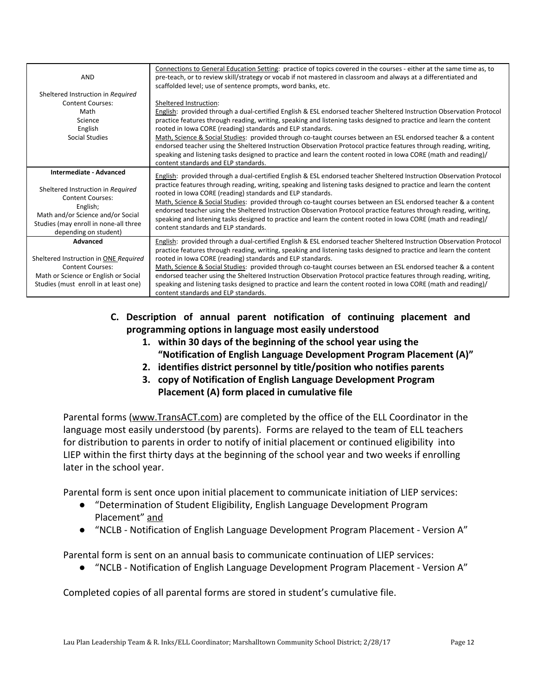| <b>AND</b>                                                                                                                                                                      | Connections to General Education Setting: practice of topics covered in the courses - either at the same time as, to<br>pre-teach, or to review skill/strategy or vocab if not mastered in classroom and always at a differentiated and<br>scaffolded level; use of sentence prompts, word banks, etc.                                                                                                                                                                                                                                                                              |  |  |  |
|---------------------------------------------------------------------------------------------------------------------------------------------------------------------------------|-------------------------------------------------------------------------------------------------------------------------------------------------------------------------------------------------------------------------------------------------------------------------------------------------------------------------------------------------------------------------------------------------------------------------------------------------------------------------------------------------------------------------------------------------------------------------------------|--|--|--|
| Sheltered Instruction in Required                                                                                                                                               |                                                                                                                                                                                                                                                                                                                                                                                                                                                                                                                                                                                     |  |  |  |
| <b>Content Courses:</b>                                                                                                                                                         | Sheltered Instruction:                                                                                                                                                                                                                                                                                                                                                                                                                                                                                                                                                              |  |  |  |
| Math                                                                                                                                                                            | English: provided through a dual-certified English & ESL endorsed teacher Sheltered Instruction Observation Protocol                                                                                                                                                                                                                                                                                                                                                                                                                                                                |  |  |  |
| Science                                                                                                                                                                         | practice features through reading, writing, speaking and listening tasks designed to practice and learn the content                                                                                                                                                                                                                                                                                                                                                                                                                                                                 |  |  |  |
| English                                                                                                                                                                         | rooted in Iowa CORE (reading) standards and ELP standards.                                                                                                                                                                                                                                                                                                                                                                                                                                                                                                                          |  |  |  |
| Social Studies                                                                                                                                                                  | Math, Science & Social Studies: provided through co-taught courses between an ESL endorsed teacher & a content<br>endorsed teacher using the Sheltered Instruction Observation Protocol practice features through reading, writing,<br>speaking and listening tasks designed to practice and learn the content rooted in lowa CORE (math and reading)/<br>content standards and ELP standards.                                                                                                                                                                                      |  |  |  |
| Intermediate - Advanced                                                                                                                                                         | English: provided through a dual-certified English & ESL endorsed teacher Sheltered Instruction Observation Protocol                                                                                                                                                                                                                                                                                                                                                                                                                                                                |  |  |  |
| Sheltered Instruction in Required<br><b>Content Courses:</b><br>English;<br>Math and/or Science and/or Social<br>Studies (may enroll in none-all three<br>depending on student) | practice features through reading, writing, speaking and listening tasks designed to practice and learn the content<br>rooted in Iowa CORE (reading) standards and ELP standards.<br>Math, Science & Social Studies: provided through co-taught courses between an ESL endorsed teacher & a content<br>endorsed teacher using the Sheltered Instruction Observation Protocol practice features through reading, writing,<br>speaking and listening tasks designed to practice and learn the content rooted in lowa CORE (math and reading)/<br>content standards and ELP standards. |  |  |  |
| <b>Advanced</b>                                                                                                                                                                 | English: provided through a dual-certified English & ESL endorsed teacher Sheltered Instruction Observation Protocol                                                                                                                                                                                                                                                                                                                                                                                                                                                                |  |  |  |
| Sheltered Instruction in ONE Required<br><b>Content Courses:</b><br>Math or Science or English or Social<br>Studies (must enroll in at least one)                               | practice features through reading, writing, speaking and listening tasks designed to practice and learn the content<br>rooted in Iowa CORE (reading) standards and ELP standards.<br>Math, Science & Social Studies: provided through co-taught courses between an ESL endorsed teacher & a content<br>endorsed teacher using the Sheltered Instruction Observation Protocol practice features through reading, writing,<br>speaking and listening tasks designed to practice and learn the content rooted in lowa CORE (math and reading)/<br>content standards and ELP standards. |  |  |  |

- **C. Description of annual parent notification of continuing placement and programming options in language most easily understood**
	- **1. within 30 days of the beginning of the school year using the "Notification of English Language Development Program Placement (A)"**
	- **2. identifies district personnel by title/position who notifies parents**
	- **3. copy of Notification of English Language Development Program Placement (A) form placed in cumulative file**

Parental forms [\(www.TransACT.com\)](http://www.transact.com/) are completed by the office of the ELL Coordinator in the language most easily understood (by parents). Forms are relayed to the team of ELL teachers for distribution to parents in order to notify of initial placement or continued eligibility into LIEP within the first thirty days at the beginning of the school year and two weeks if enrolling later in the school year.

Parental form is sent once upon initial placement to communicate initiation of LIEP services:

- "Determination of Student Eligibility, English Language Development Program Placement" and
- "NCLB Notification of English Language Development Program Placement Version A"

Parental form is sent on an annual basis to communicate continuation of LIEP services:

● "NCLB - Notification of English Language Development Program Placement - Version A"

Completed copies of all parental forms are stored in student's cumulative file.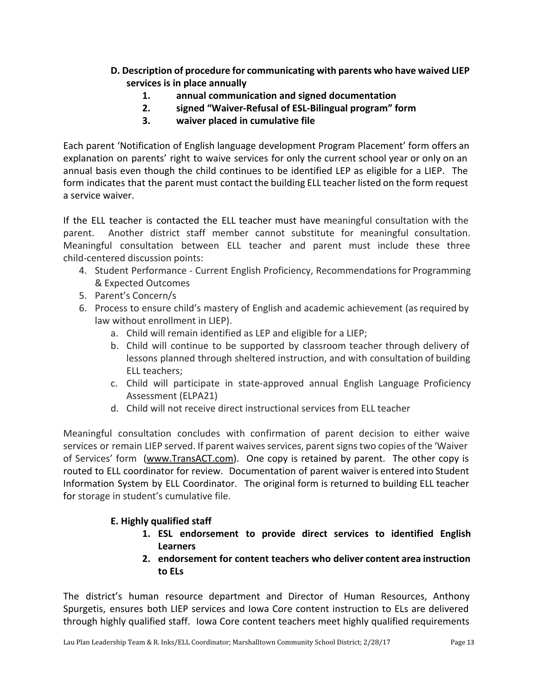- **D. Description of procedure for communicating with parents who have waived LIEP services is in place annually**
	- **1. annual communication and signed documentation**
	- **2. signed "Waiver-Refusal of ESL-Bilingual program" form**
	- **3. waiver placed in cumulative file**

Each parent 'Notification of English language development Program Placement' form offers an explanation on parents' right to waive services for only the current school year or only on an annual basis even though the child continues to be identified LEP as eligible for a LIEP. The form indicates that the parent must contact the building ELL teacher listed on the form request a service waiver.

If the ELL teacher is contacted the ELL teacher must have meaningful consultation with the parent. Another district staff member cannot substitute for meaningful consultation. Meaningful consultation between ELL teacher and parent must include these three child-centered discussion points:

- 4. Student Performance Current English Proficiency, Recommendations for Programming & Expected Outcomes
- 5. Parent's Concern/s
- 6. Process to ensure child's mastery of English and academic achievement (asrequired by law without enrollment in LIEP).
	- a. Child will remain identified as LEP and eligible for a LIEP;
	- b. Child will continue to be supported by classroom teacher through delivery of lessons planned through sheltered instruction, and with consultation of building ELL teachers;
	- c. Child will participate in state-approved annual English Language Proficiency Assessment (ELPA21)
	- d. Child will not receive direct instructional services from ELL teacher

Meaningful consultation concludes with confirmation of parent decision to either waive services or remain LIEP served. If parent waives services, parent signs two copies of the 'Waiver' of Services' form ([www.TransACT.com\)](http://www.transact.com/). One copy is retained by parent. The other copy is routed to ELL coordinator for review. Documentation of parent waiver is entered into Student Information System by ELL Coordinator. The original form is returned to building ELL teacher for storage in student's cumulative file.

# **E. Highly qualified staff**

- **1. ESL endorsement to provide direct services to identified English Learners**
- **2. endorsement for content teachers who deliver content area instruction to ELs**

The district's human resource department and Director of Human Resources, Anthony Spurgetis, ensures both LIEP services and Iowa Core content instruction to ELs are delivered through highly qualified staff. Iowa Core content teachers meet highly qualified requirements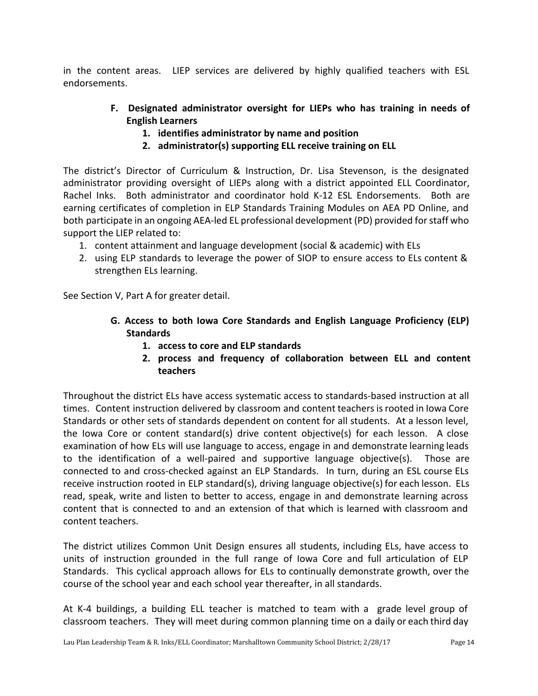in the content areas. LIEP services are delivered by highly qualified teachers with ESL endorsements.

- **F. Designated administrator oversight for LIEPs who has training in needs of English Learners**
	- **1. identifies administrator by name and position**
	- **2. administrator(s) supporting ELL receive training on ELL**

The district's Director of Curriculum & Instruction, Dr. Lisa Stevenson, is the designated administrator providing oversight of LIEPs along with a district appointed ELL Coordinator, Rachel Inks. Both administrator and coordinator hold K-12 ESL Endorsements. Both are earning certificates of completion in ELP Standards Training Modules on AEA PD Online, and both participate in an ongoing AEA-led EL professional development (PD) provided for staff who support the LIEP related to:

- 1. content attainment and language development (social & academic) with ELs
- 2. using ELP standards to leverage the power of SIOP to ensure access to ELs content & strengthen ELs learning.

See Section V, Part A for greater detail.

- **G. Access to both Iowa Core Standards and English Language Proficiency (ELP) Standards**
	- **1. access to core and ELP standards**
	- **2. process and frequency of collaboration between ELL and content teachers**

Throughout the district ELs have access systematic access to standards-based instruction at all times. Content instruction delivered by classroom and content teachersisrooted in Iowa Core Standards or other sets of standards dependent on content for all students. At a lesson level, the Iowa Core or content standard(s) drive content objective(s) for each lesson. A close examination of how ELs will use language to access, engage in and demonstrate learning leads to the identification of a well-paired and supportive language objective(s). Those are connected to and cross-checked against an ELP Standards. In turn, during an ESL course ELs receive instruction rooted in ELP standard(s), driving language objective(s) for each lesson. ELs read, speak, write and listen to better to access, engage in and demonstrate learning across content that is connected to and an extension of that which is learned with classroom and content teachers.

The district utilizes Common Unit Design ensures all students, including ELs, have access to units of instruction grounded in the full range of Iowa Core and full articulation of ELP Standards. This cyclical approach allows for ELs to continually demonstrate growth, over the course of the school year and each school year thereafter, in all standards.

At K-4 buildings, a building ELL teacher is matched to team with a grade level group of classroom teachers. They will meet during common planning time on a daily or each third day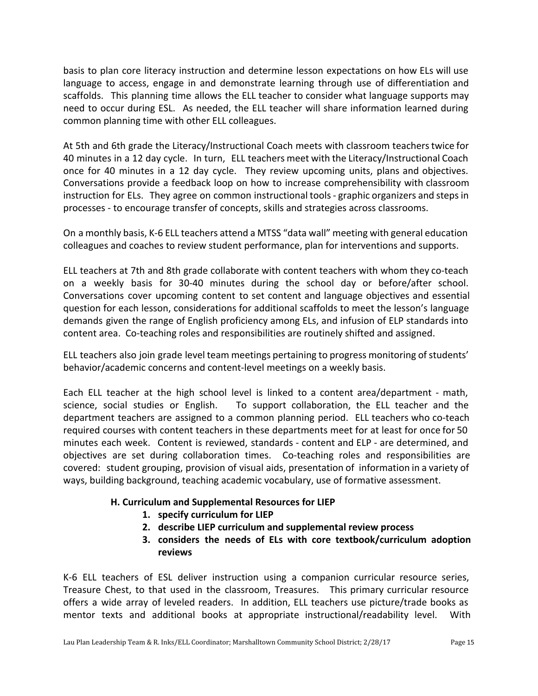basis to plan core literacy instruction and determine lesson expectations on how ELs will use language to access, engage in and demonstrate learning through use of differentiation and scaffolds. This planning time allows the ELL teacher to consider what language supports may need to occur during ESL. As needed, the ELL teacher will share information learned during common planning time with other ELL colleagues.

At 5th and 6th grade the Literacy/Instructional Coach meets with classroom teacherstwice for 40 minutes in a 12 day cycle. In turn, ELL teachers meet with the Literacy/Instructional Coach once for 40 minutes in a 12 day cycle. They review upcoming units, plans and objectives. Conversations provide a feedback loop on how to increase comprehensibility with classroom instruction for ELs. They agree on common instructional tools- graphic organizers and stepsin processes - to encourage transfer of concepts, skills and strategies across classrooms.

On a monthly basis, K-6 ELL teachers attend a MTSS "data wall" meeting with general education colleagues and coaches to review student performance, plan for interventions and supports.

ELL teachers at 7th and 8th grade collaborate with content teachers with whom they co-teach on a weekly basis for 30-40 minutes during the school day or before/after school. Conversations cover upcoming content to set content and language objectives and essential question for each lesson, considerations for additional scaffolds to meet the lesson's language demands given the range of English proficiency among ELs, and infusion of ELP standards into content area. Co-teaching roles and responsibilities are routinely shifted and assigned.

ELL teachers also join grade level team meetings pertaining to progress monitoring of students' behavior/academic concerns and content-level meetings on a weekly basis.

Each ELL teacher at the high school level is linked to a content area/department - math, science, social studies or English. To support collaboration, the ELL teacher and the department teachers are assigned to a common planning period. ELL teachers who co-teach required courses with content teachers in these departments meet for at least for once for 50 minutes each week. Content is reviewed, standards - content and ELP - are determined, and objectives are set during collaboration times. Co-teaching roles and responsibilities are covered: student grouping, provision of visual aids, presentation of information in a variety of ways, building background, teaching academic vocabulary, use of formative assessment.

# **H. Curriculum and Supplemental Resources for LIEP**

- **1. specify curriculum for LIEP**
- **2. describe LIEP curriculum and supplemental review process**
- **3. considers the needs of ELs with core textbook/curriculum adoption reviews**

K-6 ELL teachers of ESL deliver instruction using a companion curricular resource series, Treasure Chest, to that used in the classroom, Treasures. This primary curricular resource offers a wide array of leveled readers. In addition, ELL teachers use picture/trade books as mentor texts and additional books at appropriate instructional/readability level. With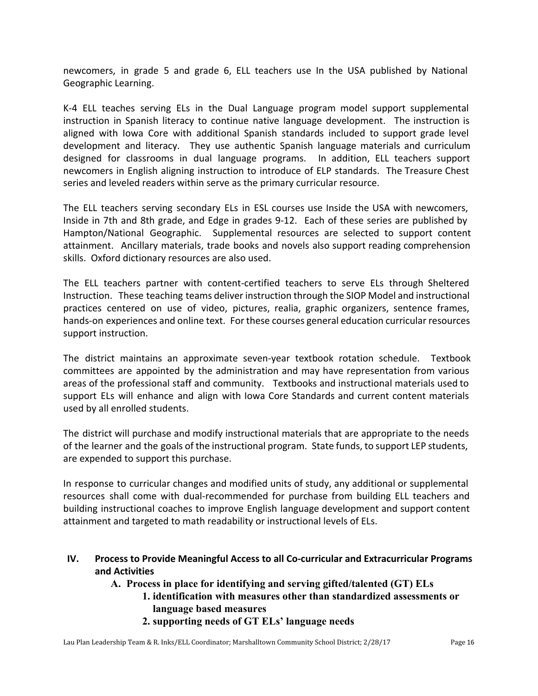newcomers, in grade 5 and grade 6, ELL teachers use In the USA published by National Geographic Learning.

K-4 ELL teaches serving ELs in the Dual Language program model support supplemental instruction in Spanish literacy to continue native language development. The instruction is aligned with Iowa Core with additional Spanish standards included to support grade level development and literacy. They use authentic Spanish language materials and curriculum designed for classrooms in dual language programs. In addition, ELL teachers support newcomers in English aligning instruction to introduce of ELP standards. The Treasure Chest series and leveled readers within serve as the primary curricular resource.

The ELL teachers serving secondary ELs in ESL courses use Inside the USA with newcomers, Inside in 7th and 8th grade, and Edge in grades 9-12. Each of these series are published by Hampton/National Geographic. Supplemental resources are selected to support content attainment. Ancillary materials, trade books and novels also support reading comprehension skills. Oxford dictionary resources are also used.

The ELL teachers partner with content-certified teachers to serve ELs through Sheltered Instruction. These teaching teams deliver instruction through the SIOP Model and instructional practices centered on use of video, pictures, realia, graphic organizers, sentence frames, hands-on experiences and online text. For these courses general education curricular resources support instruction.

The district maintains an approximate seven-year textbook rotation schedule. Textbook committees are appointed by the administration and may have representation from various areas of the professional staff and community. Textbooks and instructional materials used to support ELs will enhance and align with Iowa Core Standards and current content materials used by all enrolled students.

The district will purchase and modify instructional materials that are appropriate to the needs of the learner and the goals of the instructional program. State funds, to support LEP students, are expended to support this purchase.

In response to curricular changes and modified units of study, any additional or supplemental resources shall come with dual-recommended for purchase from building ELL teachers and building instructional coaches to improve English language development and support content attainment and targeted to math readability or instructional levels of ELs.

- **IV. Process to Provide Meaningful Access to all Co-curricular and Extracurricular Programs and Activities**
	- **A. Process in place for identifying and serving gifted/talented (GT) ELs**
		- **1. identification with measures other than standardized assessments or language based measures**
		- **2. supporting needs of GT ELs' language needs**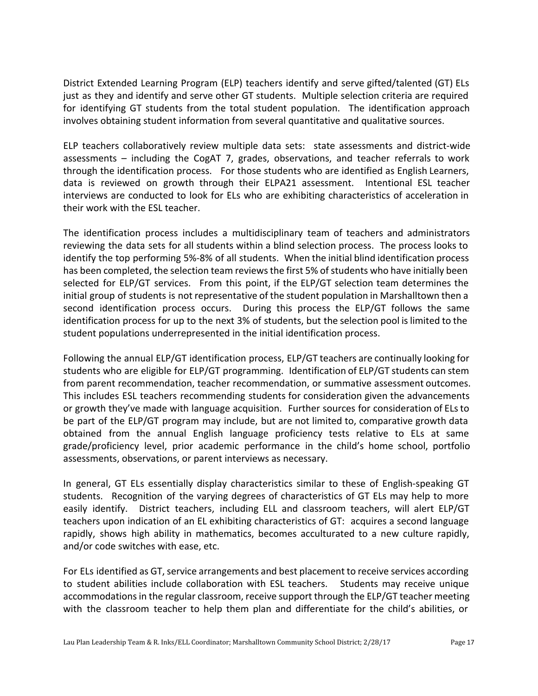District Extended Learning Program (ELP) teachers identify and serve gifted/talented (GT) ELs just as they and identify and serve other GT students. Multiple selection criteria are required for identifying GT students from the total student population. The identification approach involves obtaining student information from several quantitative and qualitative sources.

ELP teachers collaboratively review multiple data sets: state assessments and district-wide assessments – including the CogAT 7, grades, observations, and teacher referrals to work through the identification process. For those students who are identified as English Learners, data is reviewed on growth through their ELPA21 assessment. Intentional ESL teacher interviews are conducted to look for ELs who are exhibiting characteristics of acceleration in their work with the ESL teacher.

The identification process includes a multidisciplinary team of teachers and administrators reviewing the data sets for all students within a blind selection process. The process looks to identify the top performing 5%-8% of all students. When the initial blind identification process has been completed, the selection team reviews the first 5% of students who have initially been selected for ELP/GT services. From this point, if the ELP/GT selection team determines the initial group of students is not representative of the student population in Marshalltown then a second identification process occurs. During this process the ELP/GT follows the same identification process for up to the next 3% of students, but the selection pool is limited to the student populations underrepresented in the initial identification process.

Following the annual ELP/GT identification process, ELP/GT teachers are continually looking for students who are eligible for ELP/GT programming. Identification of ELP/GT students can stem from parent recommendation, teacher recommendation, or summative assessment outcomes. This includes ESL teachers recommending students for consideration given the advancements or growth they've made with language acquisition. Further sources for consideration of ELsto be part of the ELP/GT program may include, but are not limited to, comparative growth data obtained from the annual English language proficiency tests relative to ELs at same grade/proficiency level, prior academic performance in the child's home school, portfolio assessments, observations, or parent interviews as necessary.

In general, GT ELs essentially display characteristics similar to these of English-speaking GT students. Recognition of the varying degrees of characteristics of GT ELs may help to more easily identify. District teachers, including ELL and classroom teachers, will alert ELP/GT teachers upon indication of an EL exhibiting characteristics of GT: acquires a second language rapidly, shows high ability in mathematics, becomes acculturated to a new culture rapidly, and/or code switches with ease, etc.

For ELs identified as GT, service arrangements and best placement to receive services according to student abilities include collaboration with ESL teachers. Students may receive unique accommodations in the regular classroom, receive support through the ELP/GT teacher meeting with the classroom teacher to help them plan and differentiate for the child's abilities, or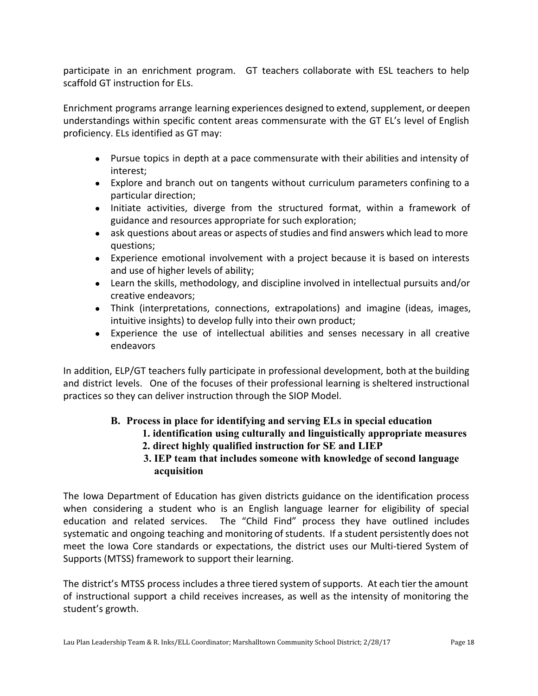participate in an enrichment program. GT teachers collaborate with ESL teachers to help scaffold GT instruction for ELs.

Enrichment programs arrange learning experiences designed to extend, supplement, or deepen understandings within specific content areas commensurate with the GT EL's level of English proficiency. ELs identified as GT may:

- Pursue topics in depth at a pace commensurate with their abilities and intensity of interest;
- Explore and branch out on tangents without curriculum parameters confining to a particular direction;
- Initiate activities, diverge from the structured format, within a framework of guidance and resources appropriate for such exploration;
- ask questions about areas or aspects of studies and find answers which lead to more questions;
- Experience emotional involvement with a project because it is based on interests and use of higher levels of ability;
- Learn the skills, methodology, and discipline involved in intellectual pursuits and/or creative endeavors;
- Think (interpretations, connections, extrapolations) and imagine (ideas, images, intuitive insights) to develop fully into their own product;
- Experience the use of intellectual abilities and senses necessary in all creative endeavors

In addition, ELP/GT teachers fully participate in professional development, both at the building and district levels. One of the focuses of their professional learning is sheltered instructional practices so they can deliver instruction through the SIOP Model.

# **B. Process in place for identifying and serving ELs in special education**

# **1. identification using culturally and linguistically appropriate measures**

- **2. direct highly qualified instruction for SE and LIEP**
- **3. IEP team that includes someone with knowledge of second language acquisition**

The Iowa Department of Education has given districts guidance on the identification process when considering a student who is an English language learner for eligibility of special education and related services. The "Child Find" process they have outlined includes systematic and ongoing teaching and monitoring of students. If a student persistently does not meet the Iowa Core standards or expectations, the district uses our Multi-tiered System of Supports (MTSS) framework to support their learning.

The district's MTSS process includes a three tiered system of supports. At each tier the amount of instructional support a child receives increases, as well as the intensity of monitoring the student's growth.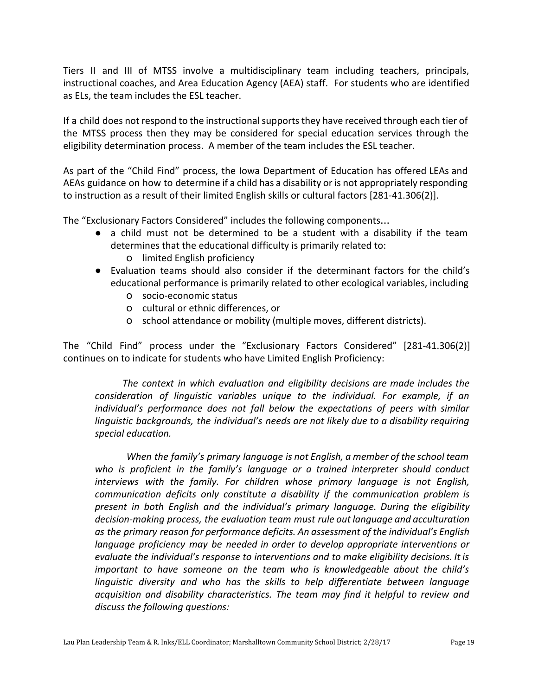Tiers II and III of MTSS involve a multidisciplinary team including teachers, principals, instructional coaches, and Area Education Agency (AEA) staff. For students who are identified as ELs, the team includes the ESL teacher.

If a child does not respond to the instructional supports they have received through each tier of the MTSS process then they may be considered for special education services through the eligibility determination process. A member of the team includes the ESL teacher.

As part of the "Child Find" process, the Iowa Department of Education has offered LEAs and AEAs guidance on how to determine if a child has a disability or is not appropriately responding to instruction as a result of their limited English skills or cultural factors [281-41.306(2)].

The "Exclusionary Factors Considered" includes the following components…

- a child must not be determined to be a student with a disability if the team determines that the educational difficulty is primarily related to:
	- o limited English proficiency
- Evaluation teams should also consider if the determinant factors for the child's educational performance is primarily related to other ecological variables, including
	- o socio-economic status
	- o cultural or ethnic differences, or
	- o school attendance or mobility (multiple moves, different districts).

The "Child Find" process under the "Exclusionary Factors Considered" [281-41.306(2)] continues on to indicate for students who have Limited English Proficiency:

*The context in which evaluation and eligibility decisions are made includes the consideration of linguistic variables unique to the individual. For example, if an individual's performance does not fall below the expectations of peers with similar linguistic backgrounds, the individual's needs are not likely due to a disability requiring special education.*

*When the family's primary language is not English, a member of the school team who is proficient in the family's language or a trained interpreter should conduct interviews with the family. For children whose primary language is not English, communication deficits only constitute a disability if the communication problem is present in both English and the individual's primary language. During the eligibility decision-making process, the evaluation team must rule out language and acculturation as the primary reason for performance deficits. An assessment of the individual's English language proficiency may be needed in order to develop appropriate interventions or evaluate the individual's response to interventions and to make eligibility decisions. It is important to have someone on the team who is knowledgeable about the child's linguistic diversity and who has the skills to help differentiate between language acquisition and disability characteristics. The team may find it helpful to review and discuss the following questions:*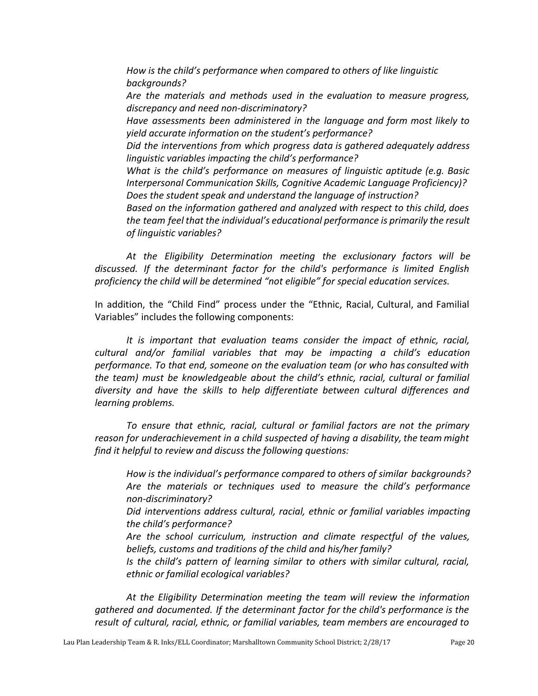*How is the child's performance when compared to others of like linguistic backgrounds?*

 *Are the materials and methods used in the evaluation to measure progress, discrepancy and need non-discriminatory?*

 *Have assessments been administered in the language and form most likely to yield accurate information on the student's performance?*

 *Did the interventions from which progress data is gathered adequately address linguistic variables impacting the child's performance?*

 *What is the child's performance on measures of linguistic aptitude (e.g. Basic Interpersonal Communication Skills, Cognitive Academic Language Proficiency)? Does the student speak and understand the language of instruction?*

 *Based on the information gathered and analyzed with respect to this child, does the team feel that the individual's educational performance is primarily the result of linguistic variables?*

> *At the Eligibility Determination meeting the exclusionary factors will be discussed. If the determinant factor for the child's performance is limited English proficiency the child will be determined "not eligible" for special education services.*

> In addition, the "Child Find" process under the "Ethnic, Racial, Cultural, and Familial Variables" includes the following components:

> *It is important that evaluation teams consider the impact of ethnic, racial, cultural and/or familial variables that may be impacting a child's education performance. To that end, someone on the evaluation team (or who has consulted with the team) must be knowledgeable about the child's ethnic, racial, cultural or familial diversity and have the skills to help differentiate between cultural differences and learning problems.*

> *To ensure that ethnic, racial, cultural or familial factors are not the primary reason for underachievement in a child suspected of having a disability, the team might find it helpful to review and discuss the following questions:*

 *How is the individual's performance compared to others of similar backgrounds? Are the materials or techniques used to measure the child's performance non-discriminatory?*

 *Did interventions address cultural, racial, ethnic or familial variables impacting the child's performance?*

 *Are the school curriculum, instruction and climate respectful of the values, beliefs, customs and traditions of the child and his/her family?*

 *Is the child's pattern of learning similar to others with similar cultural, racial, ethnic or familial ecological variables?*

> *At the Eligibility Determination meeting the team will review the information gathered and documented. If the determinant factor for the child's performance is the result of cultural, racial, ethnic, or familial variables, team members are encouraged to*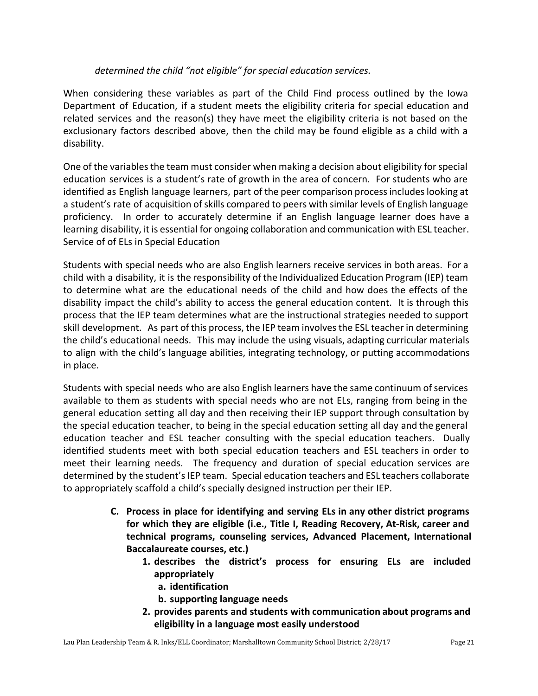#### *determined the child "not eligible" for special education services.*

When considering these variables as part of the Child Find process outlined by the Iowa Department of Education, if a student meets the eligibility criteria for special education and related services and the reason(s) they have meet the eligibility criteria is not based on the exclusionary factors described above, then the child may be found eligible as a child with a disability.

One of the variables the team must consider when making a decision about eligibility for special education services is a student's rate of growth in the area of concern. For students who are identified as English language learners, part of the peer comparison processincludeslooking at a student's rate of acquisition of skills compared to peers with similar levels of English language proficiency. In order to accurately determine if an English language learner does have a learning disability, it is essential for ongoing collaboration and communication with ESL teacher. Service of of ELs in Special Education

Students with special needs who are also English learners receive services in both areas. For a child with a disability, it is the responsibility of the Individualized Education Program (IEP) team to determine what are the educational needs of the child and how does the effects of the disability impact the child's ability to access the general education content. It is through this process that the IEP team determines what are the instructional strategies needed to support skill development. As part of this process, the IEP team involves the ESL teacher in determining the child's educational needs. This may include the using visuals, adapting curricular materials to align with the child's language abilities, integrating technology, or putting accommodations in place.

Students with special needs who are also English learners have the same continuum of services available to them as students with special needs who are not ELs, ranging from being in the general education setting all day and then receiving their IEP support through consultation by the special education teacher, to being in the special education setting all day and the general education teacher and ESL teacher consulting with the special education teachers. Dually identified students meet with both special education teachers and ESL teachers in order to meet their learning needs. The frequency and duration of special education services are determined by the student's IEP team. Special education teachers and ESL teachers collaborate to appropriately scaffold a child's specially designed instruction per their IEP.

- **C. Process in place for identifying and serving ELs in any other district programs for which they are eligible (i.e., Title I, Reading Recovery, At-Risk, career and technical programs, counseling services, Advanced Placement, International Baccalaureate courses, etc.)**
	- **1. describes the district's process for ensuring ELs are included appropriately**
		- **a. identification**
		- **b. supporting language needs**
	- **2. provides parents and students with communication about programs and eligibility in a language most easily understood**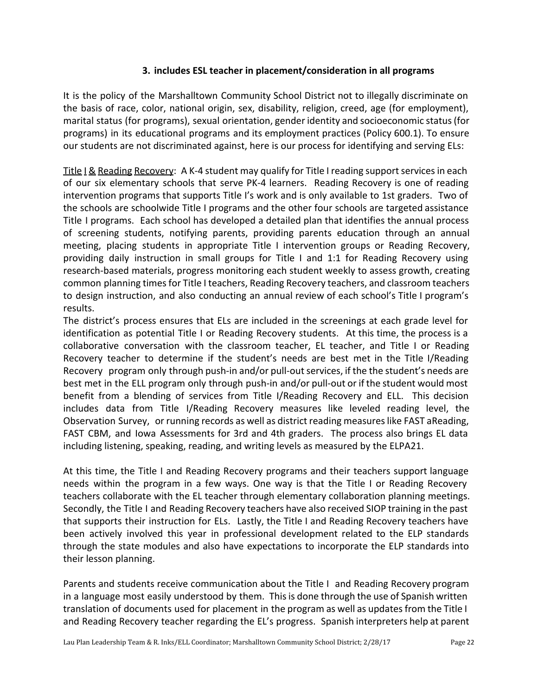#### **3. includes ESL teacher in placement/consideration in all programs**

It is the policy of the Marshalltown Community School District not to illegally discriminate on the basis of race, color, national origin, sex, disability, religion, creed, age (for employment), marital status (for programs), sexual orientation, gender identity and socioeconomic status(for programs) in its educational programs and its employment practices (Policy 600.1). To ensure our students are not discriminated against, here is our process for identifying and serving ELs:

Title I & Reading Recovery: A K-4 student may qualify for Title I reading supportservicesin each of our six elementary schools that serve PK-4 learners. Reading Recovery is one of reading intervention programs that supports Title I's work and is only available to 1st graders. Two of the schools are schoolwide Title I programs and the other four schools are targeted assistance Title I programs. Each school has developed a detailed plan that identifies the annual process of screening students, notifying parents, providing parents education through an annual meeting, placing students in appropriate Title I intervention groups or Reading Recovery, providing daily instruction in small groups for Title I and 1:1 for Reading Recovery using research-based materials, progress monitoring each student weekly to assess growth, creating common planning timesfor Title I teachers, Reading Recovery teachers, and classroom teachers to design instruction, and also conducting an annual review of each school's Title I program's results.

The district's process ensures that ELs are included in the screenings at each grade level for identification as potential Title I or Reading Recovery students. At this time, the process is a collaborative conversation with the classroom teacher, EL teacher, and Title I or Reading Recovery teacher to determine if the student's needs are best met in the Title I/Reading Recovery program only through push-in and/or pull-out services, if the the student's needs are best met in the ELL program only through push-in and/or pull-out or if the student would most benefit from a blending of services from Title I/Reading Recovery and ELL. This decision includes data from Title I/Reading Recovery measures like leveled reading level, the Observation Survey, or running records as well as district reading measureslike FAST aReading, FAST CBM, and Iowa Assessments for 3rd and 4th graders. The process also brings EL data including listening, speaking, reading, and writing levels as measured by the ELPA21.

At this time, the Title I and Reading Recovery programs and their teachers support language needs within the program in a few ways. One way is that the Title I or Reading Recovery teachers collaborate with the EL teacher through elementary collaboration planning meetings. Secondly, the Title I and Reading Recovery teachers have also received SIOP training in the past that supports their instruction for ELs. Lastly, the Title I and Reading Recovery teachers have been actively involved this year in professional development related to the ELP standards through the state modules and also have expectations to incorporate the ELP standards into their lesson planning.

Parents and students receive communication about the Title I and Reading Recovery program in a language most easily understood by them. This is done through the use of Spanish written translation of documents used for placement in the program as well as updates from the Title I and Reading Recovery teacher regarding the EL's progress. Spanish interpreters help at parent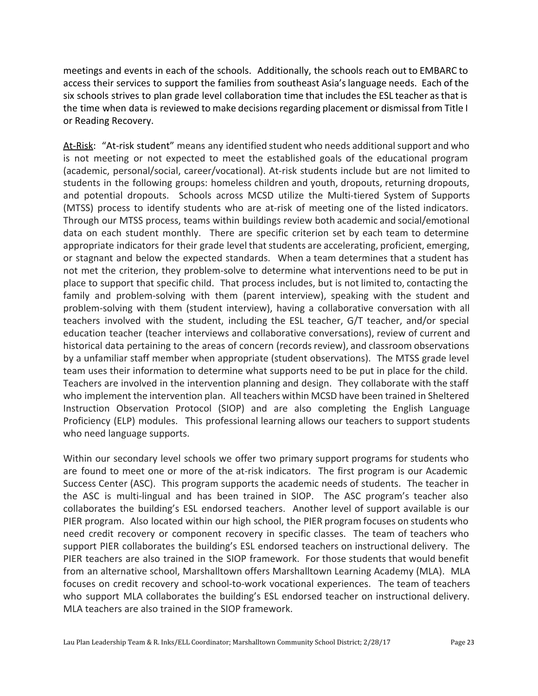meetings and events in each of the schools. Additionally, the schools reach out to EMBARC to access their services to support the families from southeast Asia'slanguage needs. Each of the six schools strives to plan grade level collaboration time that includes the ESL teacher as that is the time when data is reviewed to make decisions regarding placement or dismissal from Title I or Reading Recovery.

At-Risk: "At-risk student" means any identified student who needs additional support and who is not meeting or not expected to meet the established goals of the educational program (academic, personal/social, career/vocational). At-risk students include but are not limited to students in the following groups: homeless children and youth, dropouts, returning dropouts, and potential dropouts. Schools across MCSD utilize the Multi-tiered System of Supports (MTSS) process to identify students who are at-risk of meeting one of the listed indicators. Through our MTSS process, teams within buildings review both academic and social/emotional data on each student monthly. There are specific criterion set by each team to determine appropriate indicators for their grade level that students are accelerating, proficient, emerging, or stagnant and below the expected standards. When a team determines that a student has not met the criterion, they problem-solve to determine what interventions need to be put in place to support that specific child. That process includes, but is not limited to, contacting the family and problem-solving with them (parent interview), speaking with the student and problem-solving with them (student interview), having a collaborative conversation with all teachers involved with the student, including the ESL teacher, G/T teacher, and/or special education teacher (teacher interviews and collaborative conversations), review of current and historical data pertaining to the areas of concern (records review), and classroom observations by a unfamiliar staff member when appropriate (student observations). The MTSS grade level team uses their information to determine what supports need to be put in place for the child. Teachers are involved in the intervention planning and design. They collaborate with the staff who implement the intervention plan. All teachers within MCSD have been trained in Sheltered Instruction Observation Protocol (SIOP) and are also completing the English Language Proficiency (ELP) modules. This professional learning allows our teachers to support students who need language supports.

Within our secondary level schools we offer two primary support programs for students who are found to meet one or more of the at-risk indicators. The first program is our Academic Success Center (ASC). This program supports the academic needs of students. The teacher in the ASC is multi-lingual and has been trained in SIOP. The ASC program's teacher also collaborates the building's ESL endorsed teachers. Another level of support available is our PIER program. Also located within our high school, the PIER program focuses on students who need credit recovery or component recovery in specific classes. The team of teachers who support PIER collaborates the building's ESL endorsed teachers on instructional delivery. The PIER teachers are also trained in the SIOP framework. For those students that would benefit from an alternative school, Marshalltown offers Marshalltown Learning Academy (MLA). MLA focuses on credit recovery and school-to-work vocational experiences. The team of teachers who support MLA collaborates the building's ESL endorsed teacher on instructional delivery. MLA teachers are also trained in the SIOP framework.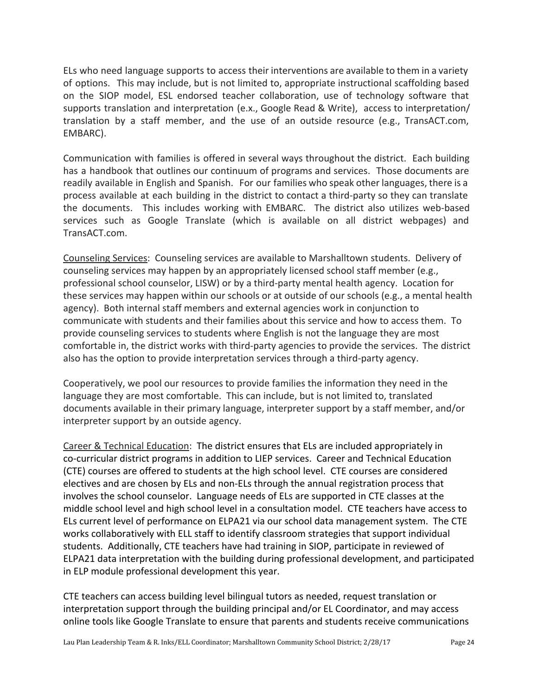ELs who need language supports to access their interventions are available to them in a variety of options. This may include, but is not limited to, appropriate instructional scaffolding based on the SIOP model, ESL endorsed teacher collaboration, use of technology software that supports translation and interpretation (e.x., Google Read & Write), access to interpretation/ translation by a staff member, and the use of an outside resource (e.g., TransACT.com, EMBARC).

Communication with families is offered in several ways throughout the district. Each building has a handbook that outlines our continuum of programs and services. Those documents are readily available in English and Spanish. For our families who speak other languages, there is a process available at each building in the district to contact a third-party so they can translate the documents. This includes working with EMBARC. The district also utilizes web-based services such as Google Translate (which is available on all district webpages) and TransACT.com.

Counseling Services: Counseling services are available to Marshalltown students. Delivery of counseling services may happen by an appropriately licensed school staff member (e.g., professional school counselor, LISW) or by a third-party mental health agency. Location for these services may happen within our schools or at outside of our schools (e.g., a mental health agency). Both internal staff members and external agencies work in conjunction to communicate with students and their families about this service and how to access them. To provide counseling services to students where English is not the language they are most comfortable in, the district works with third-party agencies to provide the services. The district also has the option to provide interpretation services through a third-party agency.

Cooperatively, we pool our resources to provide families the information they need in the language they are most comfortable. This can include, but is not limited to, translated documents available in their primary language, interpreter support by a staff member, and/or interpreter support by an outside agency.

Career & Technical Education: The district ensures that ELs are included appropriately in co-curricular district programs in addition to LIEP services. Career and Technical Education (CTE) courses are offered to students at the high school level. CTE courses are considered electives and are chosen by ELs and non-ELs through the annual registration process that involves the school counselor. Language needs of ELs are supported in CTE classes at the middle school level and high school level in a consultation model. CTE teachers have access to ELs current level of performance on ELPA21 via our school data management system. The CTE works collaboratively with ELL staff to identify classroom strategies that support individual students. Additionally, CTE teachers have had training in SIOP, participate in reviewed of ELPA21 data interpretation with the building during professional development, and participated in ELP module professional development this year.

CTE teachers can access building level bilingual tutors as needed, request translation or interpretation support through the building principal and/or EL Coordinator, and may access online tools like Google Translate to ensure that parents and students receive communications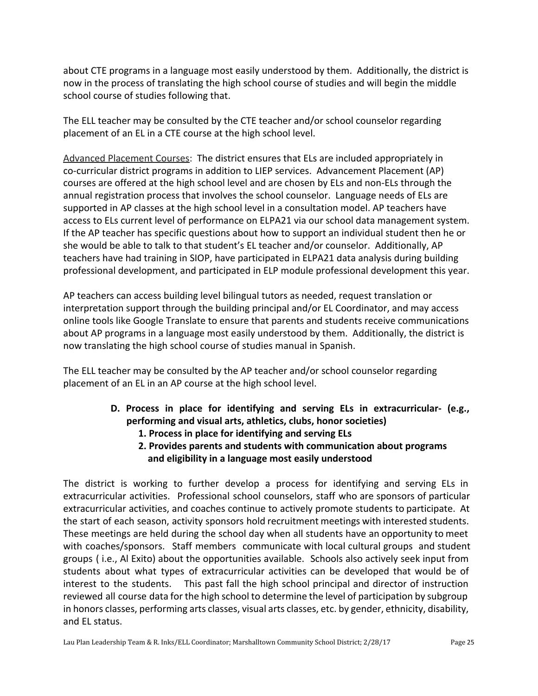about CTE programs in a language most easily understood by them. Additionally, the district is now in the process of translating the high school course of studies and will begin the middle school course of studies following that.

The ELL teacher may be consulted by the CTE teacher and/or school counselor regarding placement of an EL in a CTE course at the high school level.

Advanced Placement Courses: The district ensures that ELs are included appropriately in co-curricular district programs in addition to LIEP services. Advancement Placement (AP) courses are offered at the high school level and are chosen by ELs and non-ELs through the annual registration process that involves the school counselor. Language needs of ELs are supported in AP classes at the high school level in a consultation model. AP teachers have access to ELs current level of performance on ELPA21 via our school data management system. If the AP teacher has specific questions about how to support an individual student then he or she would be able to talk to that student's EL teacher and/or counselor. Additionally, AP teachers have had training in SIOP, have participated in ELPA21 data analysis during building professional development, and participated in ELP module professional development this year.

AP teachers can access building level bilingual tutors as needed, request translation or interpretation support through the building principal and/or EL Coordinator, and may access online tools like Google Translate to ensure that parents and students receive communications about AP programs in a language most easily understood by them. Additionally, the district is now translating the high school course of studies manual in Spanish.

The ELL teacher may be consulted by the AP teacher and/or school counselor regarding placement of an EL in an AP course at the high school level.

- **D. Process in place for identifying and serving ELs in extracurricular- (e.g., performing and visual arts, athletics, clubs, honor societies)**
	- **1. Process in place for identifying and serving ELs**
	- **2. Provides parents and students with communication about programs and eligibility in a language most easily understood**

The district is working to further develop a process for identifying and serving ELs in extracurricular activities. Professional school counselors, staff who are sponsors of particular extracurricular activities, and coaches continue to actively promote students to participate. At the start of each season, activity sponsors hold recruitment meetings with interested students. These meetings are held during the school day when all students have an opportunity to meet with coaches/sponsors. Staff members communicate with local cultural groups and student groups ( i.e., Al Exito) about the opportunities available. Schools also actively seek input from students about what types of extracurricular activities can be developed that would be of interest to the students. This past fall the high school principal and director of instruction reviewed all course data for the high school to determine the level of participation by subgroup in honors classes, performing arts classes, visual arts classes, etc. by gender, ethnicity, disability, and EL status.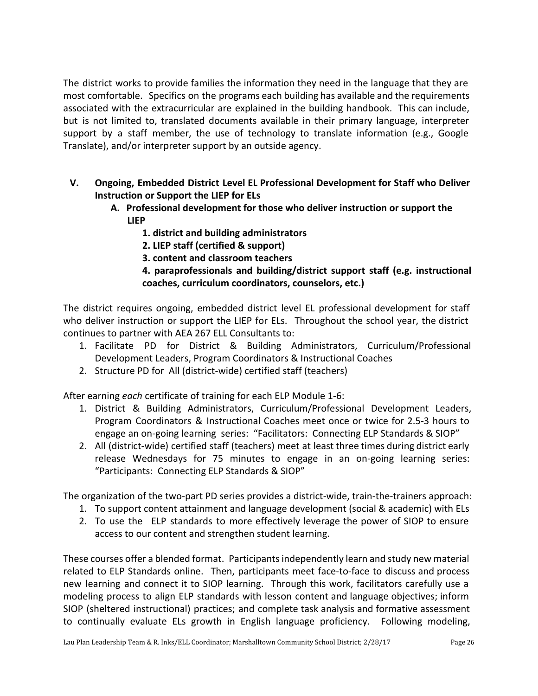The district works to provide families the information they need in the language that they are most comfortable. Specifics on the programs each building has available and the requirements associated with the extracurricular are explained in the building handbook. This can include, but is not limited to, translated documents available in their primary language, interpreter support by a staff member, the use of technology to translate information (e.g., Google Translate), and/or interpreter support by an outside agency.

- **V. Ongoing, Embedded District Level EL Professional Development for Staff who Deliver Instruction or Support the LIEP for ELs**
	- **A. Professional development for those who deliver instruction or support the LIEP**
		- **1. district and building administrators**
		- **2. LIEP staff (certified & support)**
		- **3. content and classroom teachers**
		- **4. paraprofessionals and building/district support staff (e.g. instructional coaches, curriculum coordinators, counselors, etc.)**

The district requires ongoing, embedded district level EL professional development for staff who deliver instruction or support the LIEP for ELs. Throughout the school year, the district continues to partner with AEA 267 ELL Consultants to:

- 1. Facilitate PD for District & Building Administrators, Curriculum/Professional Development Leaders, Program Coordinators & Instructional Coaches
- 2. Structure PD for All (district-wide) certified staff (teachers)

After earning *each* certificate of training for each ELP Module 1-6:

- 1. District & Building Administrators, Curriculum/Professional Development Leaders, Program Coordinators & Instructional Coaches meet once or twice for 2.5-3 hours to engage an on-going learning series: "Facilitators: Connecting ELP Standards & SIOP"
- 2. All (district-wide) certified staff (teachers) meet at least three times during district early release Wednesdays for 75 minutes to engage in an on-going learning series: "Participants: Connecting ELP Standards & SIOP"

The organization of the two-part PD series provides a district-wide, train-the-trainers approach:

- 1. To support content attainment and language development (social & academic) with ELs
- 2. To use the ELP standards to more effectively leverage the power of SIOP to ensure access to our content and strengthen student learning.

These courses offer a blended format. Participantsindependently learn and study new material related to ELP Standards online. Then, participants meet face-to-face to discuss and process new learning and connect it to SIOP learning. Through this work, facilitators carefully use a modeling process to align ELP standards with lesson content and language objectives; inform SIOP (sheltered instructional) practices; and complete task analysis and formative assessment to continually evaluate ELs growth in English language proficiency. Following modeling,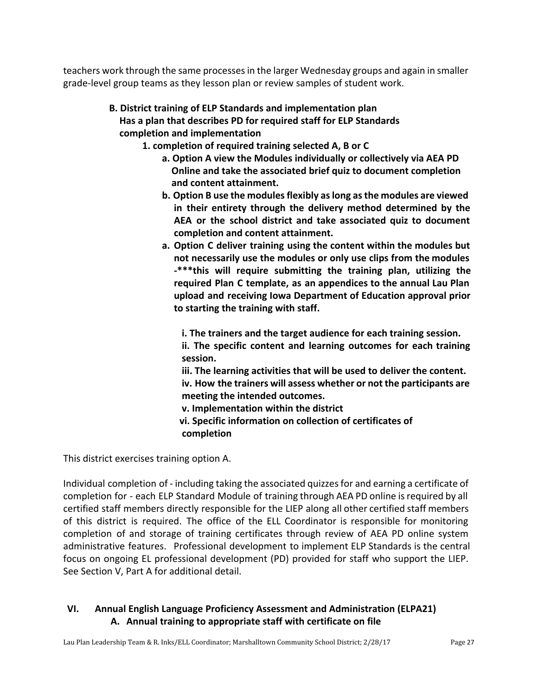teachers work through the same processesin the larger Wednesday groups and again in smaller grade-level group teams as they lesson plan or review samples of student work.

# **B. District training of ELP Standards and implementation plan Has a plan that describes PD for required staff for ELP Standards completion and implementation**

- **1. completion of required training selected A, B or C**
	- **a. Option A view the Modules individually or collectively via AEA PD Online and take the associated brief quiz to document completion and content attainment.**
	- **b. Option B use the modulesflexibly aslong asthe modules are viewed in their entirety through the delivery method determined by the AEA or the school district and take associated quiz to document completion and content attainment.**
	- **a. Option C deliver training using the content within the modules but not necessarily use the modules or only use clips from the modules -\*\*\*this will require submitting the training plan, utilizing the required Plan C template, as an appendices to the annual Lau Plan upload and receiving Iowa Department of Education approval prior to starting the training with staff.**

**i. The trainers and the target audience for each training session. ii. The specific content and learning outcomes for each training session.**

**iii. The learning activities that will be used to deliver the content. iv. How the trainers will assess whether or not the participants are meeting the intended outcomes.**

**v. Implementation within the district**

 **vi. Specific information on collection of certificates of completion**

This district exercises training option A.

Individual completion of - including taking the associated quizzesfor and earning a certificate of completion for - each ELP Standard Module of training through AEA PD online isrequired by all certified staff members directly responsible for the LIEP along all other certified staff members of this district is required. The office of the ELL Coordinator is responsible for monitoring completion of and storage of training certificates through review of AEA PD online system administrative features. Professional development to implement ELP Standards is the central focus on ongoing EL professional development (PD) provided for staff who support the LIEP. See Section V, Part A for additional detail.

# **VI. Annual English Language Proficiency Assessment and Administration (ELPA21) A. Annual training to appropriate staff with certificate on file**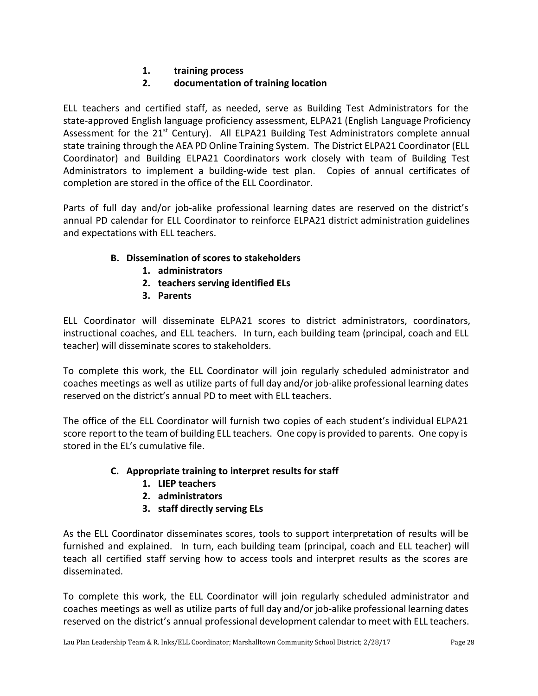**1. training process**

# **2. documentation of training location**

ELL teachers and certified staff, as needed, serve as Building Test Administrators for the state-approved English language proficiency assessment, ELPA21 (English Language Proficiency Assessment for the 21<sup>st</sup> Century). All ELPA21 Building Test Administrators complete annual state training through the AEA PD Online Training System. The District ELPA21 Coordinator (ELL Coordinator) and Building ELPA21 Coordinators work closely with team of Building Test Administrators to implement a building-wide test plan. Copies of annual certificates of completion are stored in the office of the ELL Coordinator.

Parts of full day and/or job-alike professional learning dates are reserved on the district's annual PD calendar for ELL Coordinator to reinforce ELPA21 district administration guidelines and expectations with ELL teachers.

# **B. Dissemination of scores to stakeholders**

- **1. administrators**
- **2. teachers serving identified ELs**
- **3. Parents**

ELL Coordinator will disseminate ELPA21 scores to district administrators, coordinators, instructional coaches, and ELL teachers. In turn, each building team (principal, coach and ELL teacher) will disseminate scores to stakeholders.

To complete this work, the ELL Coordinator will join regularly scheduled administrator and coaches meetings as well as utilize parts of full day and/or job-alike professional learning dates reserved on the district's annual PD to meet with ELL teachers.

The office of the ELL Coordinator will furnish two copies of each student's individual ELPA21 score report to the team of building ELL teachers. One copy is provided to parents. One copy is stored in the EL's cumulative file.

# **C. Appropriate training to interpret results for staff**

- **1. LIEP teachers**
- **2. administrators**
- **3. staff directly serving ELs**

As the ELL Coordinator disseminates scores, tools to support interpretation of results will be furnished and explained. In turn, each building team (principal, coach and ELL teacher) will teach all certified staff serving how to access tools and interpret results as the scores are disseminated.

To complete this work, the ELL Coordinator will join regularly scheduled administrator and coaches meetings as well as utilize parts of full day and/or job-alike professional learning dates reserved on the district's annual professional development calendar to meet with ELL teachers.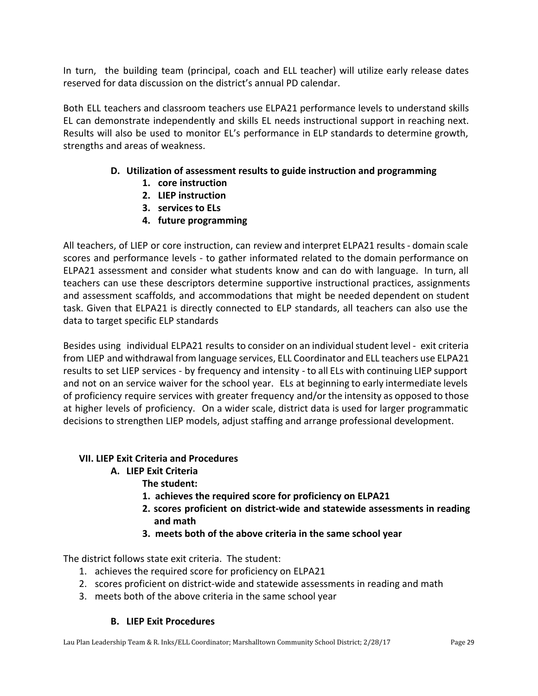In turn, the building team (principal, coach and ELL teacher) will utilize early release dates reserved for data discussion on the district's annual PD calendar.

Both ELL teachers and classroom teachers use ELPA21 performance levels to understand skills EL can demonstrate independently and skills EL needs instructional support in reaching next. Results will also be used to monitor EL's performance in ELP standards to determine growth, strengths and areas of weakness.

# **D. Utilization of assessment results to guide instruction and programming**

- **1. core instruction**
- **2. LIEP instruction**
- **3. services to ELs**
- **4. future programming**

All teachers, of LIEP or core instruction, can review and interpret ELPA21 results- domain scale scores and performance levels - to gather informated related to the domain performance on ELPA21 assessment and consider what students know and can do with language. In turn, all teachers can use these descriptors determine supportive instructional practices, assignments and assessment scaffolds, and accommodations that might be needed dependent on student task. Given that ELPA21 is directly connected to ELP standards, all teachers can also use the data to target specific ELP standards

Besides using individual ELPA21 results to consider on an individual student level - exit criteria from LIEP and withdrawal from language services, ELL Coordinator and ELL teachers use ELPA21 results to set LIEP services - by frequency and intensity - to all ELs with continuing LIEP support and not on an service waiver for the school year. ELs at beginning to early intermediate levels of proficiency require services with greater frequency and/or the intensity as opposed to those at higher levels of proficiency. On a wider scale, district data is used for larger programmatic decisions to strengthen LIEP models, adjust staffing and arrange professional development.

#### **VII. LIEP Exit Criteria and Procedures**

- **A. LIEP Exit Criteria**
	- **The student:**
	- **1. achieves the required score for proficiency on ELPA21**
	- **2. scores proficient on district-wide and statewide assessments in reading and math**
	- **3. meets both of the above criteria in the same school year**

The district follows state exit criteria. The student:

- 1. achieves the required score for proficiency on ELPA21
- 2. scores proficient on district-wide and statewide assessments in reading and math
- 3. meets both of the above criteria in the same school year

#### **B. LIEP Exit Procedures**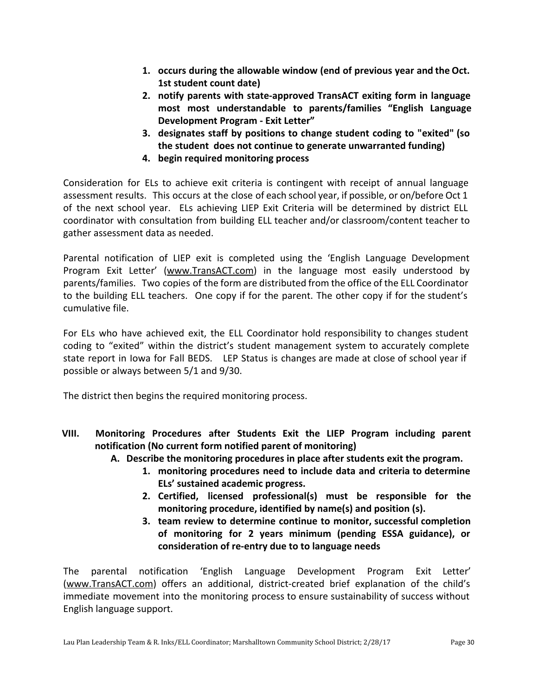- **1. occurs during the allowable window (end of previous year and the Oct. 1st student count date)**
- **2. notify parents with state-approved TransACT exiting form in language most most understandable to parents/families "English [Language](http://h/) [Development Program - Exit Letter](http://h/)"**
- **3. designates staff by positions to change student coding to "exited" (so the student does not continue to generate unwarranted funding)**
- **4. begin required monitoring process**

Consideration for ELs to achieve exit criteria is contingent with receipt of annual language assessment results. This occurs at the close of each school year, if possible, or on/before Oct 1 of the next school year. ELs achieving LIEP Exit Criteria will be determined by district ELL coordinator with consultation from building ELL teacher and/or classroom/content teacher to gather assessment data as needed.

Parental notification of LIEP exit is completed using the 'English Language Development Program Exit Letter' [\(www.TransACT.com\)](http://www.transact.com/) in the language most easily understood by parents/families. Two copies of the form are distributed from the office of the ELL Coordinator to the building ELL teachers. One copy if for the parent. The other copy if for the student's cumulative file.

For ELs who have achieved exit, the ELL Coordinator hold responsibility to changes student coding to "exited" within the district's student management system to accurately complete state report in Iowa for Fall BEDS. LEP Status is changes are made at close of school year if possible or always between 5/1 and 9/30.

The district then begins the required monitoring process.

- **VIII. Monitoring Procedures after Students Exit the LIEP Program including parent notification (No current form notified parent of monitoring)**
	- **A. Describe the monitoring procedures in place after students exit the program.**
		- **1. monitoring procedures need to include data and criteria to determine ELs' sustained academic progress.**
		- **2. Certified, licensed professional(s) must be responsible for the monitoring procedure, identified by name(s) and position (s).**
		- **3. team review to determine continue to monitor, successful completion of monitoring for 2 years minimum (pending ESSA guidance), or consideration of re-entry due to to language needs**

The parental notification 'English Language Development Program Exit Letter' [\(www.TransACT.com\)](http://www.transact.com/) offers an additional, district-created brief explanation of the child's immediate movement into the monitoring process to ensure sustainability of success without English language support.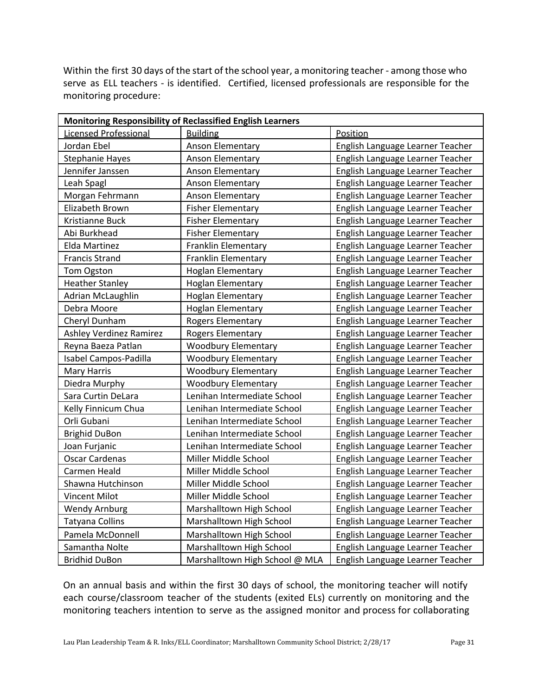Within the first 30 days of the start of the school year, a monitoring teacher - among those who serve as ELL teachers - is identified. Certified, licensed professionals are responsible for the monitoring procedure:

| <b>Monitoring Responsibility of Reclassified English Learners</b> |                                |                                  |  |  |  |
|-------------------------------------------------------------------|--------------------------------|----------------------------------|--|--|--|
| Licensed Professional                                             | <b>Building</b>                | Position                         |  |  |  |
| Jordan Ebel                                                       | Anson Elementary               | English Language Learner Teacher |  |  |  |
| <b>Stephanie Hayes</b>                                            | Anson Elementary               | English Language Learner Teacher |  |  |  |
| Jennifer Janssen                                                  | Anson Elementary               | English Language Learner Teacher |  |  |  |
| Leah Spagl                                                        | Anson Elementary               | English Language Learner Teacher |  |  |  |
| Morgan Fehrmann                                                   | Anson Elementary               | English Language Learner Teacher |  |  |  |
| Elizabeth Brown                                                   | <b>Fisher Elementary</b>       | English Language Learner Teacher |  |  |  |
| Kristianne Buck                                                   | <b>Fisher Elementary</b>       | English Language Learner Teacher |  |  |  |
| Abi Burkhead                                                      | <b>Fisher Elementary</b>       | English Language Learner Teacher |  |  |  |
| Elda Martinez                                                     | Franklin Elementary            | English Language Learner Teacher |  |  |  |
| <b>Francis Strand</b>                                             | Franklin Elementary            | English Language Learner Teacher |  |  |  |
| Tom Ogston                                                        | <b>Hoglan Elementary</b>       | English Language Learner Teacher |  |  |  |
| <b>Heather Stanley</b>                                            | <b>Hoglan Elementary</b>       | English Language Learner Teacher |  |  |  |
| Adrian McLaughlin                                                 | <b>Hoglan Elementary</b>       | English Language Learner Teacher |  |  |  |
| Debra Moore                                                       | <b>Hoglan Elementary</b>       | English Language Learner Teacher |  |  |  |
| Cheryl Dunham                                                     | Rogers Elementary              | English Language Learner Teacher |  |  |  |
| <b>Ashley Verdinez Ramirez</b>                                    | Rogers Elementary              | English Language Learner Teacher |  |  |  |
| Reyna Baeza Patlan                                                | <b>Woodbury Elementary</b>     | English Language Learner Teacher |  |  |  |
| Isabel Campos-Padilla                                             | <b>Woodbury Elementary</b>     | English Language Learner Teacher |  |  |  |
| <b>Mary Harris</b>                                                | <b>Woodbury Elementary</b>     | English Language Learner Teacher |  |  |  |
| Diedra Murphy                                                     | <b>Woodbury Elementary</b>     | English Language Learner Teacher |  |  |  |
| Sara Curtin DeLara                                                | Lenihan Intermediate School    | English Language Learner Teacher |  |  |  |
| Kelly Finnicum Chua                                               | Lenihan Intermediate School    | English Language Learner Teacher |  |  |  |
| Orli Gubani                                                       | Lenihan Intermediate School    | English Language Learner Teacher |  |  |  |
| <b>Brighid DuBon</b>                                              | Lenihan Intermediate School    | English Language Learner Teacher |  |  |  |
| Joan Furjanic                                                     | Lenihan Intermediate School    | English Language Learner Teacher |  |  |  |
| <b>Oscar Cardenas</b>                                             | Miller Middle School           | English Language Learner Teacher |  |  |  |
| Carmen Heald                                                      | Miller Middle School           | English Language Learner Teacher |  |  |  |
| Shawna Hutchinson                                                 | Miller Middle School           | English Language Learner Teacher |  |  |  |
| <b>Vincent Milot</b>                                              | Miller Middle School           | English Language Learner Teacher |  |  |  |
| <b>Wendy Arnburg</b>                                              | Marshalltown High School       | English Language Learner Teacher |  |  |  |
| <b>Tatyana Collins</b>                                            | Marshalltown High School       | English Language Learner Teacher |  |  |  |
| Pamela McDonnell                                                  | Marshalltown High School       | English Language Learner Teacher |  |  |  |
| Samantha Nolte                                                    | Marshalltown High School       | English Language Learner Teacher |  |  |  |
| <b>Bridhid DuBon</b>                                              | Marshalltown High School @ MLA | English Language Learner Teacher |  |  |  |

On an annual basis and within the first 30 days of school, the monitoring teacher will notify each course/classroom teacher of the students (exited ELs) currently on monitoring and the monitoring teachers intention to serve as the assigned monitor and process for collaborating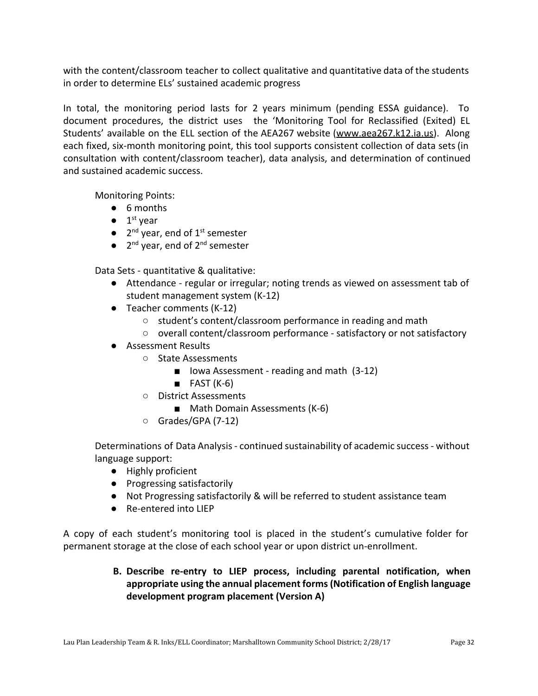with the content/classroom teacher to collect qualitative and quantitative data of the students in order to determine ELs' sustained academic progress

In total, the monitoring period lasts for 2 years minimum (pending ESSA guidance). To document procedures, the district uses the 'Monitoring Tool for Reclassified (Exited) EL Students' available on the ELL section of the AEA267 website ([www.aea267.k12.ia.us\)](http://www.aea267.k12.ia.us/). Along each fixed, six-month monitoring point, this tool supports consistent collection of data sets(in consultation with content/classroom teacher), data analysis, and determination of continued and sustained academic success.

Monitoring Points:

- 6 months
- $\bullet$  1<sup>st</sup> year
- $\bullet$  2<sup>nd</sup> year, end of 1<sup>st</sup> semester
- $\bullet$  2<sup>nd</sup> year, end of 2<sup>nd</sup> semester

Data Sets - quantitative & qualitative:

- Attendance regular or irregular; noting trends as viewed on assessment tab of student management system (K-12)
- Teacher comments (K-12)
	- student's content/classroom performance in reading and math
	- overall content/classroom performance satisfactory or not satisfactory
- Assessment Results
	- State Assessments
		- Iowa Assessment reading and math (3-12)
		- $B = FAST (K-6)$
	- District Assessments
		- Math Domain Assessments (K-6)
	- Grades/GPA (7-12)

Determinations of Data Analysis- continued sustainability of academic success- without language support:

- Highly proficient
- Progressing satisfactorily
- Not Progressing satisfactorily & will be referred to student assistance team
- Re-entered into LIEP

A copy of each student's monitoring tool is placed in the student's cumulative folder for permanent storage at the close of each school year or upon district un-enrollment.

# **B. Describe re-entry to LIEP process, including parental notification, when appropriate using the annual placement forms(Notification of English language development program placement (Version A)**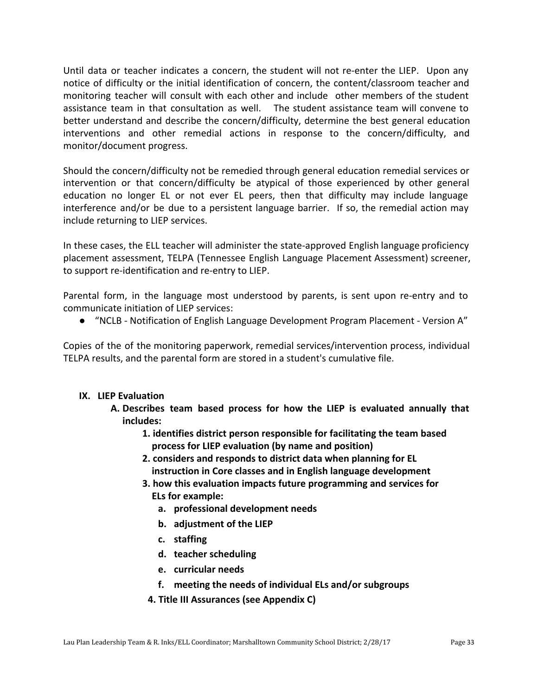Until data or teacher indicates a concern, the student will not re-enter the LIEP. Upon any notice of difficulty or the initial identification of concern, the content/classroom teacher and monitoring teacher will consult with each other and include other members of the student assistance team in that consultation as well. The student assistance team will convene to better understand and describe the concern/difficulty, determine the best general education interventions and other remedial actions in response to the concern/difficulty, and monitor/document progress.

Should the concern/difficulty not be remedied through general education remedial services or intervention or that concern/difficulty be atypical of those experienced by other general education no longer EL or not ever EL peers, then that difficulty may include language interference and/or be due to a persistent language barrier. If so, the remedial action may include returning to LIEP services.

In these cases, the ELL teacher will administer the state-approved English language proficiency placement assessment, TELPA (Tennessee English Language Placement Assessment) screener, to support re-identification and re-entry to LIEP.

Parental form, in the language most understood by parents, is sent upon re-entry and to communicate initiation of LIEP services:

● "NCLB - Notification of English Language Development Program Placement - Version A"

Copies of the of the monitoring paperwork, remedial services/intervention process, individual TELPA results, and the parental form are stored in a student's cumulative file.

#### **IX. LIEP Evaluation**

- **A. Describes team based process for how the LIEP is evaluated annually that includes:**
	- **1. identifies district person responsible for facilitating the team based process for LIEP evaluation (by name and position)**
	- **2. considers and responds to district data when planning for EL instruction in Core classes and in English language development**
	- **3. how this evaluation impacts future programming and services for ELs for example:**
		- **a. professional development needs**
		- **b. adjustment of the LIEP**
		- **c. staffing**
		- **d. teacher scheduling**
		- **e. curricular needs**
		- **f. meeting the needs of individual ELs and/or subgroups**
	- **4. Title III Assurances (see Appendix C)**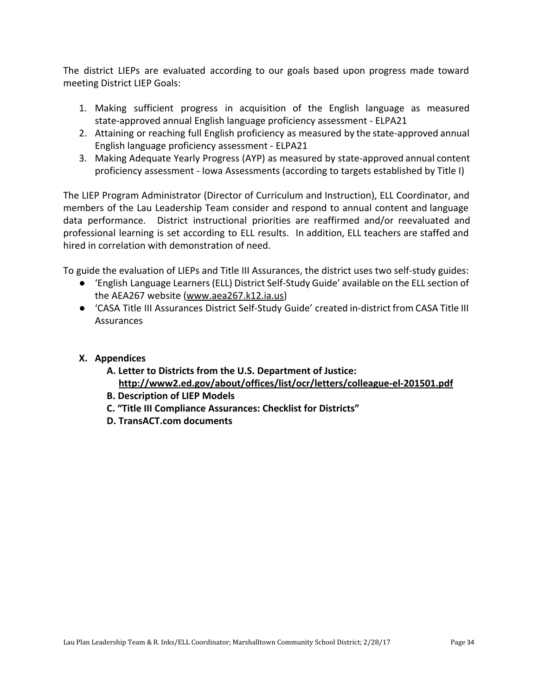The district LIEPs are evaluated according to our goals based upon progress made toward meeting District LIEP Goals:

- 1. Making sufficient progress in acquisition of the English language as measured state-approved annual English language proficiency assessment - ELPA21
- 2. Attaining or reaching full English proficiency as measured by the state-approved annual English language proficiency assessment - ELPA21
- 3. Making Adequate Yearly Progress (AYP) as measured by state-approved annual content proficiency assessment - Iowa Assessments (according to targets established by Title I)

The LIEP Program Administrator (Director of Curriculum and Instruction), ELL Coordinator, and members of the Lau Leadership Team consider and respond to annual content and language data performance. District instructional priorities are reaffirmed and/or reevaluated and professional learning is set according to ELL results. In addition, ELL teachers are staffed and hired in correlation with demonstration of need.

To guide the evaluation of LIEPs and Title III Assurances, the district uses two self-study guides:

- 'English Language Learners(ELL) District Self-Study Guide' available on the ELL section of the AEA267 website [\(www.aea267.k12.ia.us](http://www.aea267.k12.ia.us/))
- 'CASA Title III Assurances District Self-Study Guide' created in-district from CASA Title III Assurances

# **X. Appendices**

- **A. Letter to Districts from the U.S. Department of Justice: <http://www2.ed.gov/about/offices/list/ocr/letters/colleague-el-201501.pdf>**
- **B. Description of LIEP Models**
- **C. "Title III Compliance Assurances: Checklist for Districts"**
- **D. TransACT.com documents**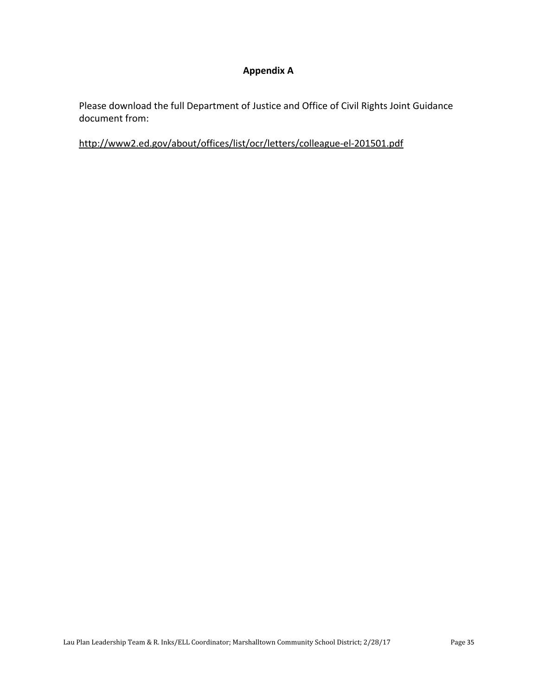#### **Appendix A**

Please download the full Department of Justice and Office of Civil Rights Joint Guidance document from:

<http://www2.ed.gov/about/offices/list/ocr/letters/colleague-el-201501.pdf>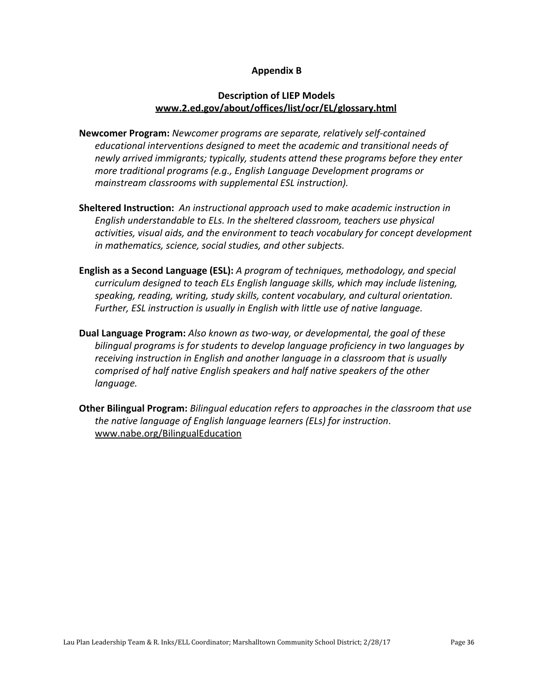#### **Appendix B**

#### **Description of LIEP Models [www.2.ed.gov/about/offices/list/ocr/EL/glossary.html](http://www.2.ed.gov/about/offices/list/ocr/ell/glossary.html)**

- **Newcomer Program:** *Newcomer programs are separate, relatively self-contained educational interventions designed to meet the academic and transitional needs of newly arrived immigrants; typically, students attend these programs before they enter more traditional programs (e.g., English Language Development programs or mainstream classrooms with supplemental ESL instruction).*
- **Sheltered Instruction:** *An instructional approach used to make academic instruction in English understandable to ELs. In the sheltered classroom, teachers use physical activities, visual aids, and the environment to teach vocabulary for concept development in mathematics, science, social studies, and other subjects.*
- **English as a Second Language (ESL):** *A program of techniques, methodology, and special curriculum designed to teach ELs English language skills, which may include listening, speaking, reading, writing, study skills, content vocabulary, and cultural orientation. Further, ESL instruction is usually in English with little use of native language.*
- **Dual Language Program:** *Also known as two-way, or developmental, the goal of these bilingual programs is for students to develop language proficiency in two languages by receiving instruction in English and another language in a classroom that is usually comprised of half native English speakers and half native speakers of the other language.*
- **Other Bilingual Program:** *Bilingual education refers to approaches in the classroom that use the native language of English language learners (ELs) for instruction*. [www.nabe.org/BilingualEducation](http://www.nabe.org/BilingualEducation)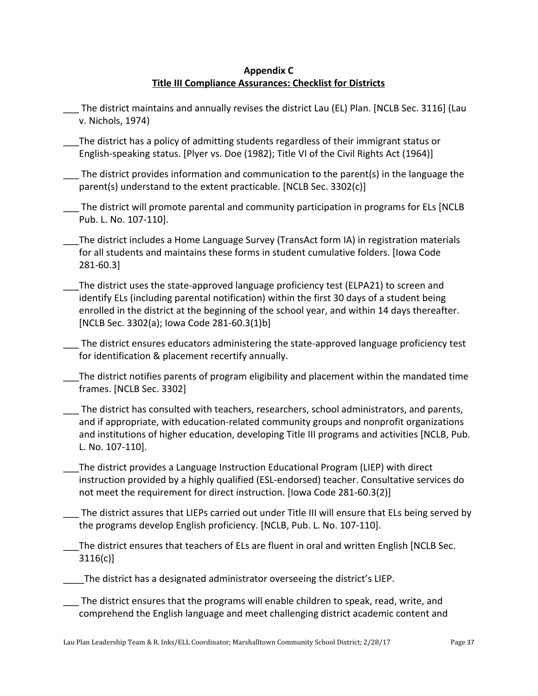#### **Appendix C Title III Compliance Assurances: Checklist for Districts**

- The district maintains and annually revises the district Lau (EL) Plan. [NCLB Sec. 3116] (Lau v. Nichols, 1974)
- \_\_\_The district has a policy of admitting students regardless of their immigrant status or English-speaking status. [Plyer vs. Doe (1982); Title VI of the Civil Rights Act (1964)]
- The district provides information and communication to the parent(s) in the language the parent(s) understand to the extent practicable. [NCLB Sec. 3302(c)]
- The district will promote parental and community participation in programs for ELs [NCLB Pub. L. No. 107-110].
- The district includes a Home Language Survey (TransAct form IA) in registration materials for all students and maintains these forms in student cumulative folders. [Iowa Code 281-60.3]
	- The district uses the state-approved language proficiency test (ELPA21) to screen and identify ELs (including parental notification) within the first 30 days of a student being enrolled in the district at the beginning of the school year, and within 14 days thereafter. [NCLB Sec. 3302(a); Iowa Code 281-60.3(1)b]

The district ensures educators administering the state-approved language proficiency test for identification & placement recertify annually.

- The district notifies parents of program eligibility and placement within the mandated time frames. [NCLB Sec. 3302]
- The district has consulted with teachers, researchers, school administrators, and parents, and if appropriate, with education-related community groups and nonprofit organizations and institutions of higher education, developing Title III programs and activities [NCLB, Pub. L. No. 107-110].
- The district provides a Language Instruction Educational Program (LIEP) with direct instruction provided by a highly qualified (ESL-endorsed) teacher. Consultative services do not meet the requirement for direct instruction. [Iowa Code 281-60.3(2)]
- The district assures that LIEPs carried out under Title III will ensure that ELs being served by the programs develop English proficiency. [NCLB, Pub. L. No. 107-110].
- The district ensures that teachers of ELs are fluent in oral and written English [NCLB Sec. 3116(c)]
- The district has a designated administrator overseeing the district's LIEP.
- The district ensures that the programs will enable children to speak, read, write, and comprehend the English language and meet challenging district academic content and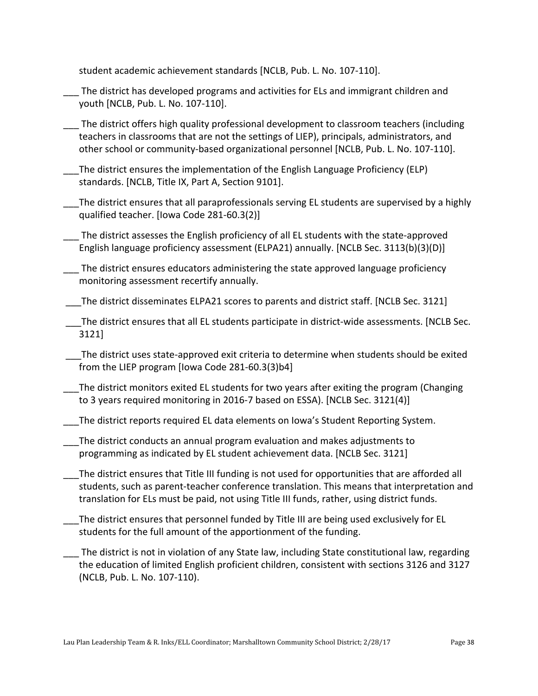student academic achievement standards [NCLB, Pub. L. No. 107-110].

- The district has developed programs and activities for ELs and immigrant children and youth [NCLB, Pub. L. No. 107-110].
- \_\_\_ The district offers high quality professional development to classroom teachers (including teachers in classrooms that are not the settings of LIEP), principals, administrators, and other school or community-based organizational personnel [NCLB, Pub. L. No. 107-110].
	- The district ensures the implementation of the English Language Proficiency (ELP) standards. [NCLB, Title IX, Part A, Section 9101].
- The district ensures that all paraprofessionals serving EL students are supervised by a highly qualified teacher. [Iowa Code 281-60.3(2)]
- \_\_\_ The district assesses the English proficiency of all EL students with the state-approved English language proficiency assessment (ELPA21) annually. [NCLB Sec. 3113(b)(3)(D)]
- The district ensures educators administering the state approved language proficiency monitoring assessment recertify annually.
- The district disseminates ELPA21 scores to parents and district staff. [NCLB Sec. 3121]
- \_\_\_The district ensures that all EL students participate in district-wide assessments. [NCLB Sec. 3121]
- \_\_\_The district uses state-approved exit criteria to determine when students should be exited from the LIEP program [Iowa Code 281-60.3(3)b4]
- The district monitors exited EL students for two years after exiting the program (Changing to 3 years required monitoring in 2016-7 based on ESSA). [NCLB Sec. 3121(4)]
- The district reports required EL data elements on Iowa's Student Reporting System.
- \_\_\_The district conducts an annual program evaluation and makes adjustments to programming as indicated by EL student achievement data. [NCLB Sec. 3121]
- The district ensures that Title III funding is not used for opportunities that are afforded all students, such as parent-teacher conference translation. This means that interpretation and translation for ELs must be paid, not using Title III funds, rather, using district funds.
- \_\_\_The district ensures that personnel funded by Title III are being used exclusively for EL students for the full amount of the apportionment of the funding.
- The district is not in violation of any State law, including State constitutional law, regarding the education of limited English proficient children, consistent with sections 3126 and 3127 (NCLB, Pub. L. No. 107-110).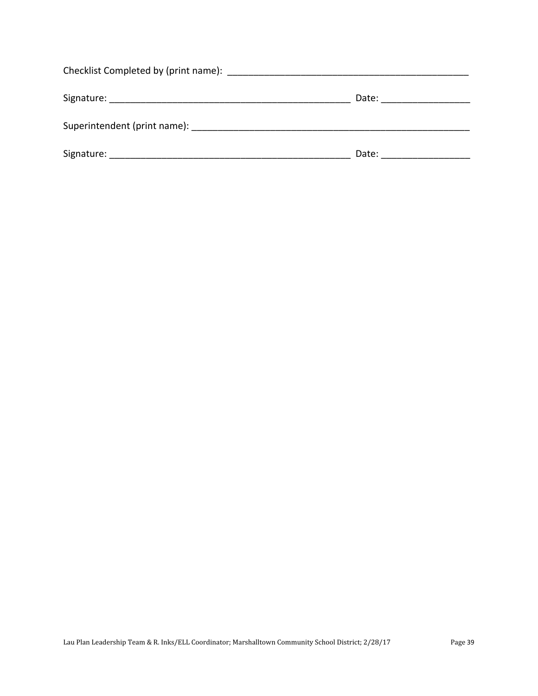|            | Date: _____________ |
|------------|---------------------|
|            |                     |
| Signature: | Date:               |